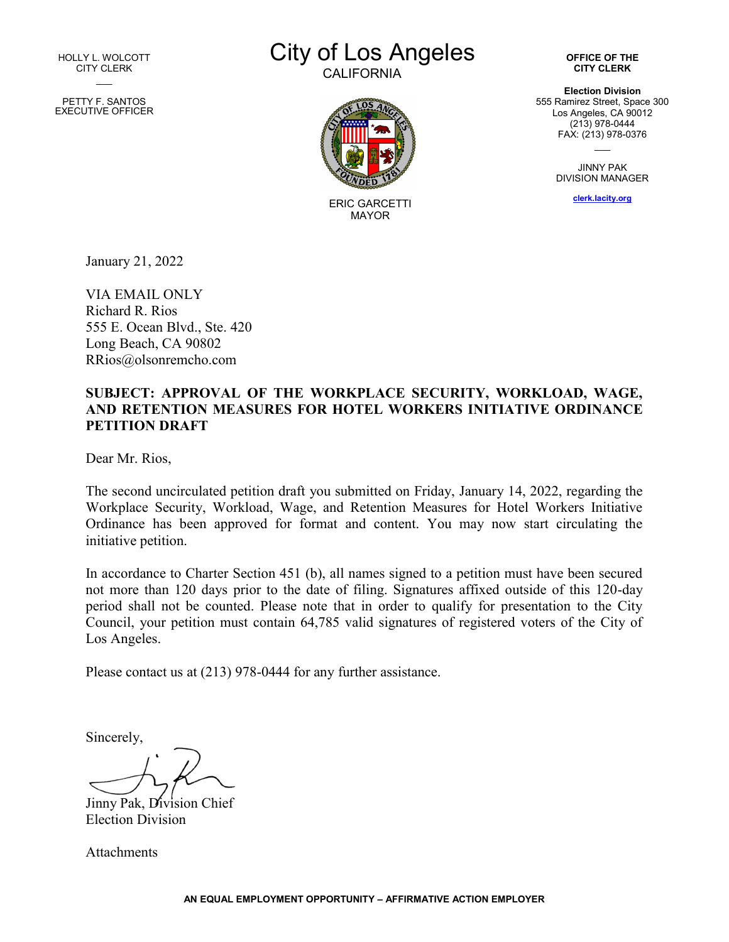HOLLY L. WOLCOTT CITY CLERK  $\overline{\phantom{a}}$ 

PETTY F. SANTOS EXECUTIVE OFFICER City of Los Angeles

**CALIFORNIA** 



ERIC GARCETTI MAYOR

**OFFICE OF THE CITY CLERK**

**Election Division** 555 Ramirez Street, Space 300 Los Angeles, CA 90012 (213) 978-0444 FAX: (213) 978-0376  $\overline{\phantom{a}}$ 

> JINNY PAK DIVISION MANAGER

> > **[clerk.lacity.org](http://clerk.lacity.org/)**

January 21, 2022

VIA EMAIL ONLY Richard R. Rios 555 E. Ocean Blvd., Ste. 420 Long Beach, CA 90802 RRios@olsonremcho.com

#### **SUBJECT: APPROVAL OF THE WORKPLACE SECURITY, WORKLOAD, WAGE, AND RETENTION MEASURES FOR HOTEL WORKERS INITIATIVE ORDINANCE PETITION DRAFT**

Dear Mr. Rios,

The second uncirculated petition draft you submitted on Friday, January 14, 2022, regarding the Workplace Security, Workload, Wage, and Retention Measures for Hotel Workers Initiative Ordinance has been approved for format and content. You may now start circulating the initiative petition.

In accordance to Charter Section 451 (b), all names signed to a petition must have been secured not more than 120 days prior to the date of filing. Signatures affixed outside of this 120-day period shall not be counted. Please note that in order to qualify for presentation to the City Council, your petition must contain 64,785 valid signatures of registered voters of the City of Los Angeles.

Please contact us at (213) 978-0444 for any further assistance.

Sincerely,

Jinny Pak, Division Chief Election Division

Attachments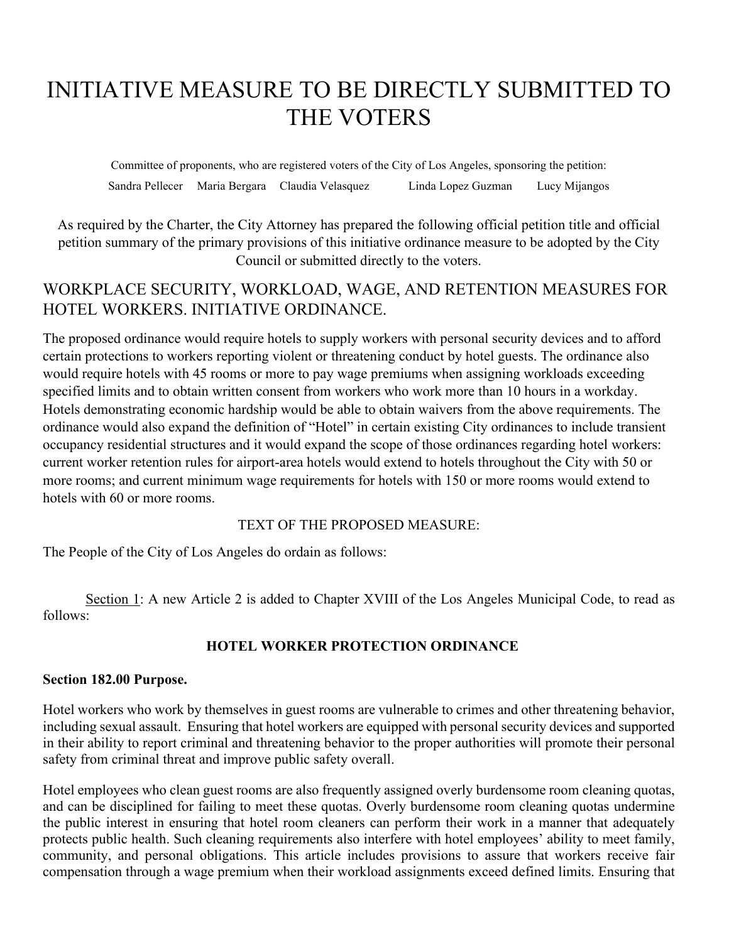# INITIATIVE MEASURE TO BE DIRECTLY SUBMITTED TO THE VOTERS

Committee of proponents, who are registered voters of the City of Los Angeles, sponsoring the petition: Sandra Pellecer Maria Bergara Claudia Velasquez Linda Lopez Guzman Lucy Mijangos

As required by the Charter, the City Attorney has prepared the following official petition title and official petition summary of the primary provisions of this initiative ordinance measure to be adopted by the City Council or submitted directly to the voters.

## WORKPLACE SECURITY, WORKLOAD, WAGE, AND RETENTION MEASURES FOR HOTEL WORKERS. INITIATIVE ORDINANCE.

The proposed ordinance would require hotels to supply workers with personal security devices and to afford certain protections to workers reporting violent or threatening conduct by hotel guests. The ordinance also would require hotels with 45 rooms or more to pay wage premiums when assigning workloads exceeding specified limits and to obtain written consent from workers who work more than 10 hours in a workday. Hotels demonstrating economic hardship would be able to obtain waivers from the above requirements. The ordinance would also expand the definition of "Hotel" in certain existing City ordinances to include transient occupancy residential structures and it would expand the scope of those ordinances regarding hotel workers: current worker retention rules for airport-area hotels would extend to hotels throughout the City with 50 or more rooms; and current minimum wage requirements for hotels with 150 or more rooms would extend to hotels with 60 or more rooms.

#### TEXT OF THE PROPOSED MEASURE:

The People of the City of Los Angeles do ordain as follows:

Section 1: A new Article 2 is added to Chapter XVIII of the Los Angeles Municipal Code, to read as follows:

#### **HOTEL WORKER PROTECTION ORDINANCE**

#### **Section 182.00 Purpose.**

Hotel workers who work by themselves in guest rooms are vulnerable to crimes and other threatening behavior, including sexual assault. Ensuring that hotel workers are equipped with personal security devices and supported in their ability to report criminal and threatening behavior to the proper authorities will promote their personal safety from criminal threat and improve public safety overall.

Hotel employees who clean guest rooms are also frequently assigned overly burdensome room cleaning quotas, and can be disciplined for failing to meet these quotas. Overly burdensome room cleaning quotas undermine the public interest in ensuring that hotel room cleaners can perform their work in a manner that adequately protects public health. Such cleaning requirements also interfere with hotel employees' ability to meet family, community, and personal obligations. This article includes provisions to assure that workers receive fair compensation through a wage premium when their workload assignments exceed defined limits. Ensuring that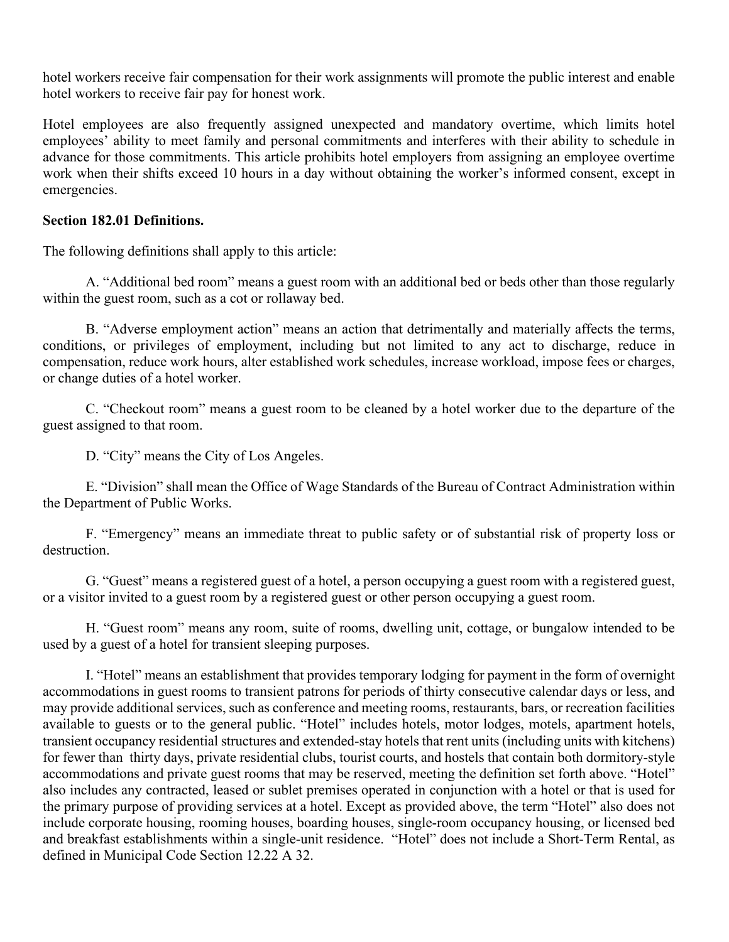hotel workers receive fair compensation for their work assignments will promote the public interest and enable hotel workers to receive fair pay for honest work.

Hotel employees are also frequently assigned unexpected and mandatory overtime, which limits hotel employees' ability to meet family and personal commitments and interferes with their ability to schedule in advance for those commitments. This article prohibits hotel employers from assigning an employee overtime work when their shifts exceed 10 hours in a day without obtaining the worker's informed consent, except in emergencies.

#### **Section 182.01 Definitions.**

The following definitions shall apply to this article:

A. "Additional bed room" means a guest room with an additional bed or beds other than those regularly within the guest room, such as a cot or rollaway bed.

B. "Adverse employment action" means an action that detrimentally and materially affects the terms, conditions, or privileges of employment, including but not limited to any act to discharge, reduce in compensation, reduce work hours, alter established work schedules, increase workload, impose fees or charges, or change duties of a hotel worker.

C. "Checkout room" means a guest room to be cleaned by a hotel worker due to the departure of the guest assigned to that room.

D. "City" means the City of Los Angeles.

E. "Division" shall mean the Office of Wage Standards of the Bureau of Contract Administration within the Department of Public Works.

F. "Emergency" means an immediate threat to public safety or of substantial risk of property loss or destruction.

G. "Guest" means a registered guest of a hotel, a person occupying a guest room with a registered guest, or a visitor invited to a guest room by a registered guest or other person occupying a guest room.

H. "Guest room" means any room, suite of rooms, dwelling unit, cottage, or bungalow intended to be used by a guest of a hotel for transient sleeping purposes.

I. "Hotel" means an establishment that provides temporary lodging for payment in the form of overnight accommodations in guest rooms to transient patrons for periods of thirty consecutive calendar days or less, and may provide additional services, such as conference and meeting rooms, restaurants, bars, or recreation facilities available to guests or to the general public. "Hotel" includes hotels, motor lodges, motels, apartment hotels, transient occupancy residential structures and extended-stay hotels that rent units (including units with kitchens) for fewer than thirty days, private residential clubs, tourist courts, and hostels that contain both dormitory-style accommodations and private guest rooms that may be reserved, meeting the definition set forth above. "Hotel" also includes any contracted, leased or sublet premises operated in conjunction with a hotel or that is used for the primary purpose of providing services at a hotel. Except as provided above, the term "Hotel" also does not include corporate housing, rooming houses, boarding houses, single-room occupancy housing, or licensed bed and breakfast establishments within a single-unit residence. "Hotel" does not include a Short-Term Rental, as defined in Municipal Code Section 12.22 A 32.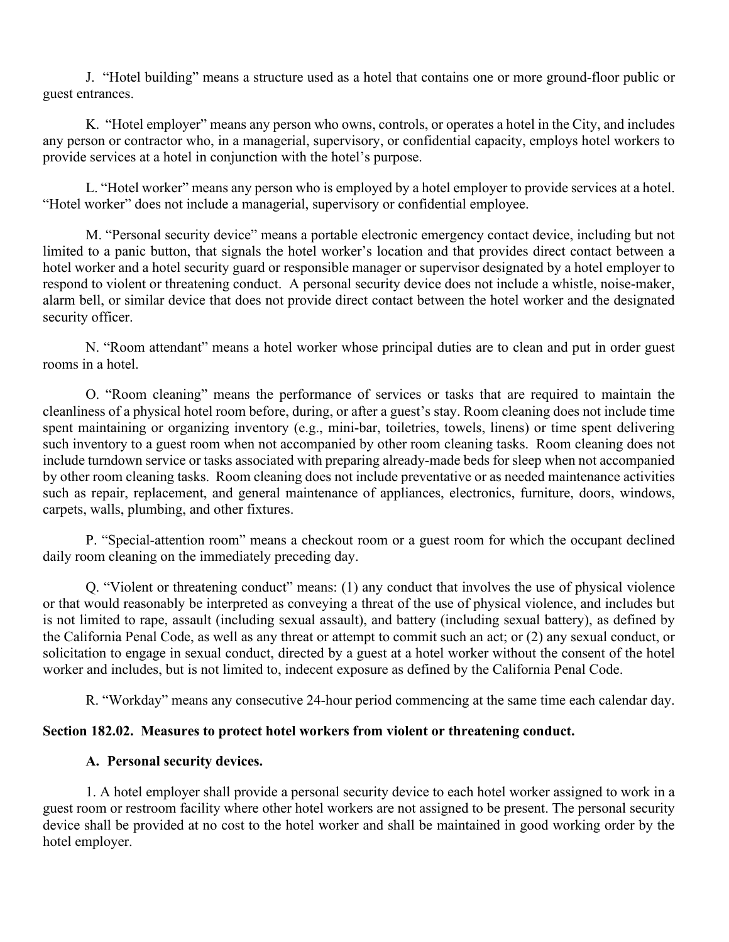J. "Hotel building" means a structure used as a hotel that contains one or more ground-floor public or guest entrances.

K. "Hotel employer" means any person who owns, controls, or operates a hotel in the City, and includes any person or contractor who, in a managerial, supervisory, or confidential capacity, employs hotel workers to provide services at a hotel in conjunction with the hotel's purpose.

L. "Hotel worker" means any person who is employed by a hotel employer to provide services at a hotel. "Hotel worker" does not include a managerial, supervisory or confidential employee.

M. "Personal security device" means a portable electronic emergency contact device, including but not limited to a panic button, that signals the hotel worker's location and that provides direct contact between a hotel worker and a hotel security guard or responsible manager or supervisor designated by a hotel employer to respond to violent or threatening conduct. A personal security device does not include a whistle, noise-maker, alarm bell, or similar device that does not provide direct contact between the hotel worker and the designated security officer.

N. "Room attendant" means a hotel worker whose principal duties are to clean and put in order guest rooms in a hotel.

O. "Room cleaning" means the performance of services or tasks that are required to maintain the cleanliness of a physical hotel room before, during, or after a guest's stay. Room cleaning does not include time spent maintaining or organizing inventory (e.g., mini-bar, toiletries, towels, linens) or time spent delivering such inventory to a guest room when not accompanied by other room cleaning tasks. Room cleaning does not include turndown service or tasks associated with preparing already-made beds for sleep when not accompanied by other room cleaning tasks. Room cleaning does not include preventative or as needed maintenance activities such as repair, replacement, and general maintenance of appliances, electronics, furniture, doors, windows, carpets, walls, plumbing, and other fixtures.

P. "Special-attention room" means a checkout room or a guest room for which the occupant declined daily room cleaning on the immediately preceding day.

Q. "Violent or threatening conduct" means: (1) any conduct that involves the use of physical violence or that would reasonably be interpreted as conveying a threat of the use of physical violence, and includes but is not limited to rape, assault (including sexual assault), and battery (including sexual battery), as defined by the California Penal Code, as well as any threat or attempt to commit such an act; or (2) any sexual conduct, or solicitation to engage in sexual conduct, directed by a guest at a hotel worker without the consent of the hotel worker and includes, but is not limited to, indecent exposure as defined by the California Penal Code.

R. "Workday" means any consecutive 24-hour period commencing at the same time each calendar day.

#### **Section 182.02. Measures to protect hotel workers from violent or threatening conduct.**

#### **A. Personal security devices.**

1. A hotel employer shall provide a personal security device to each hotel worker assigned to work in a guest room or restroom facility where other hotel workers are not assigned to be present. The personal security device shall be provided at no cost to the hotel worker and shall be maintained in good working order by the hotel employer.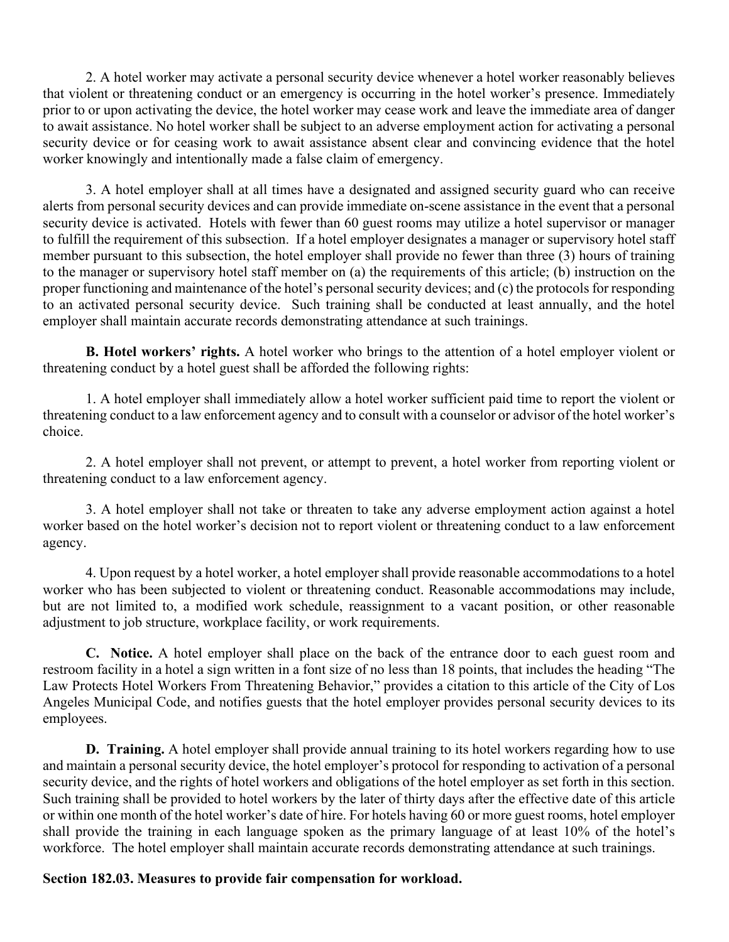2. A hotel worker may activate a personal security device whenever a hotel worker reasonably believes that violent or threatening conduct or an emergency is occurring in the hotel worker's presence. Immediately prior to or upon activating the device, the hotel worker may cease work and leave the immediate area of danger to await assistance. No hotel worker shall be subject to an adverse employment action for activating a personal security device or for ceasing work to await assistance absent clear and convincing evidence that the hotel worker knowingly and intentionally made a false claim of emergency.

3. A hotel employer shall at all times have a designated and assigned security guard who can receive alerts from personal security devices and can provide immediate on-scene assistance in the event that a personal security device is activated. Hotels with fewer than 60 guest rooms may utilize a hotel supervisor or manager to fulfill the requirement of this subsection. If a hotel employer designates a manager or supervisory hotel staff member pursuant to this subsection, the hotel employer shall provide no fewer than three (3) hours of training to the manager or supervisory hotel staff member on (a) the requirements of this article; (b) instruction on the proper functioning and maintenance of the hotel's personal security devices; and (c) the protocols for responding to an activated personal security device. Such training shall be conducted at least annually, and the hotel employer shall maintain accurate records demonstrating attendance at such trainings.

**B. Hotel workers' rights.** A hotel worker who brings to the attention of a hotel employer violent or threatening conduct by a hotel guest shall be afforded the following rights:

1. A hotel employer shall immediately allow a hotel worker sufficient paid time to report the violent or threatening conduct to a law enforcement agency and to consult with a counselor or advisor of the hotel worker's choice.

2. A hotel employer shall not prevent, or attempt to prevent, a hotel worker from reporting violent or threatening conduct to a law enforcement agency.

3. A hotel employer shall not take or threaten to take any adverse employment action against a hotel worker based on the hotel worker's decision not to report violent or threatening conduct to a law enforcement agency.

4. Upon request by a hotel worker, a hotel employer shall provide reasonable accommodations to a hotel worker who has been subjected to violent or threatening conduct. Reasonable accommodations may include, but are not limited to, a modified work schedule, reassignment to a vacant position, or other reasonable adjustment to job structure, workplace facility, or work requirements.

**C. Notice.** A hotel employer shall place on the back of the entrance door to each guest room and restroom facility in a hotel a sign written in a font size of no less than 18 points, that includes the heading "The Law Protects Hotel Workers From Threatening Behavior," provides a citation to this article of the City of Los Angeles Municipal Code, and notifies guests that the hotel employer provides personal security devices to its employees.

**D. Training.** A hotel employer shall provide annual training to its hotel workers regarding how to use and maintain a personal security device, the hotel employer's protocol for responding to activation of a personal security device, and the rights of hotel workers and obligations of the hotel employer as set forth in this section. Such training shall be provided to hotel workers by the later of thirty days after the effective date of this article or within one month of the hotel worker's date of hire. For hotels having 60 or more guest rooms, hotel employer shall provide the training in each language spoken as the primary language of at least 10% of the hotel's workforce. The hotel employer shall maintain accurate records demonstrating attendance at such trainings.

#### **Section 182.03. Measures to provide fair compensation for workload.**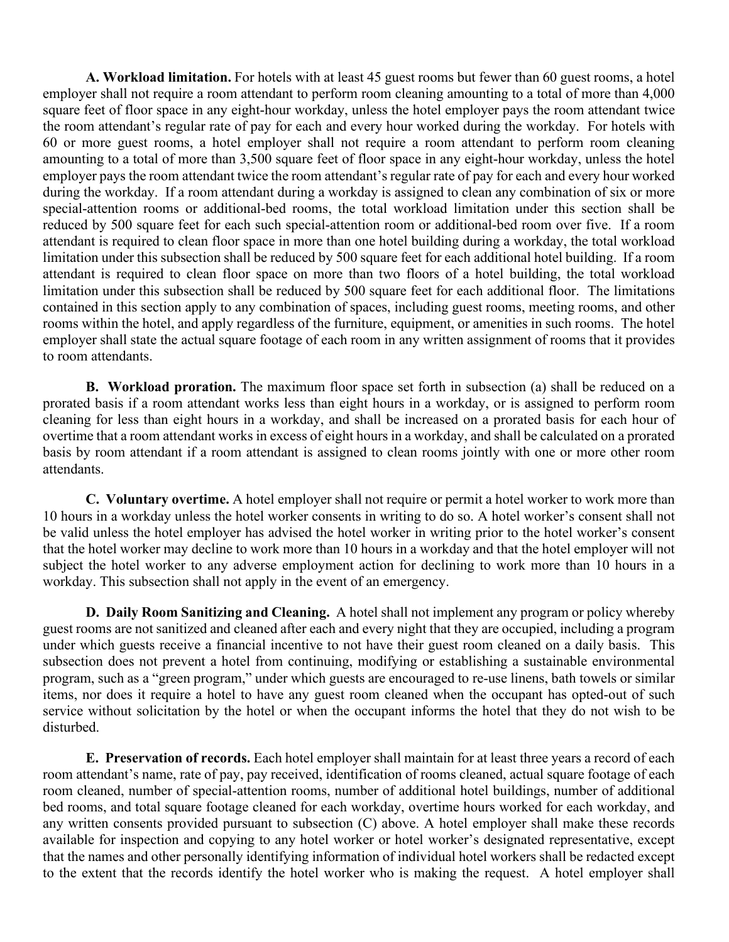**A. Workload limitation.** For hotels with at least 45 guest rooms but fewer than 60 guest rooms, a hotel employer shall not require a room attendant to perform room cleaning amounting to a total of more than 4,000 square feet of floor space in any eight-hour workday, unless the hotel employer pays the room attendant twice the room attendant's regular rate of pay for each and every hour worked during the workday. For hotels with 60 or more guest rooms, a hotel employer shall not require a room attendant to perform room cleaning amounting to a total of more than 3,500 square feet of floor space in any eight-hour workday, unless the hotel employer pays the room attendant twice the room attendant's regular rate of pay for each and every hour worked during the workday. If a room attendant during a workday is assigned to clean any combination of six or more special-attention rooms or additional-bed rooms, the total workload limitation under this section shall be reduced by 500 square feet for each such special-attention room or additional-bed room over five. If a room attendant is required to clean floor space in more than one hotel building during a workday, the total workload limitation under this subsection shall be reduced by 500 square feet for each additional hotel building. If a room attendant is required to clean floor space on more than two floors of a hotel building, the total workload limitation under this subsection shall be reduced by 500 square feet for each additional floor. The limitations contained in this section apply to any combination of spaces, including guest rooms, meeting rooms, and other rooms within the hotel, and apply regardless of the furniture, equipment, or amenities in such rooms. The hotel employer shall state the actual square footage of each room in any written assignment of rooms that it provides to room attendants.

**B. Workload proration.** The maximum floor space set forth in subsection (a) shall be reduced on a prorated basis if a room attendant works less than eight hours in a workday, or is assigned to perform room cleaning for less than eight hours in a workday, and shall be increased on a prorated basis for each hour of overtime that a room attendant works in excess of eight hours in a workday, and shall be calculated on a prorated basis by room attendant if a room attendant is assigned to clean rooms jointly with one or more other room attendants.

**C. Voluntary overtime.** A hotel employer shall not require or permit a hotel worker to work more than 10 hours in a workday unless the hotel worker consents in writing to do so. A hotel worker's consent shall not be valid unless the hotel employer has advised the hotel worker in writing prior to the hotel worker's consent that the hotel worker may decline to work more than 10 hours in a workday and that the hotel employer will not subject the hotel worker to any adverse employment action for declining to work more than 10 hours in a workday. This subsection shall not apply in the event of an emergency.

**D. Daily Room Sanitizing and Cleaning.** A hotel shall not implement any program or policy whereby guest rooms are not sanitized and cleaned after each and every night that they are occupied, including a program under which guests receive a financial incentive to not have their guest room cleaned on a daily basis. This subsection does not prevent a hotel from continuing, modifying or establishing a sustainable environmental program, such as a "green program," under which guests are encouraged to re-use linens, bath towels or similar items, nor does it require a hotel to have any guest room cleaned when the occupant has opted-out of such service without solicitation by the hotel or when the occupant informs the hotel that they do not wish to be disturbed.

**E. Preservation of records.** Each hotel employer shall maintain for at least three years a record of each room attendant's name, rate of pay, pay received, identification of rooms cleaned, actual square footage of each room cleaned, number of special-attention rooms, number of additional hotel buildings, number of additional bed rooms, and total square footage cleaned for each workday, overtime hours worked for each workday, and any written consents provided pursuant to subsection (C) above. A hotel employer shall make these records available for inspection and copying to any hotel worker or hotel worker's designated representative, except that the names and other personally identifying information of individual hotel workers shall be redacted except to the extent that the records identify the hotel worker who is making the request. A hotel employer shall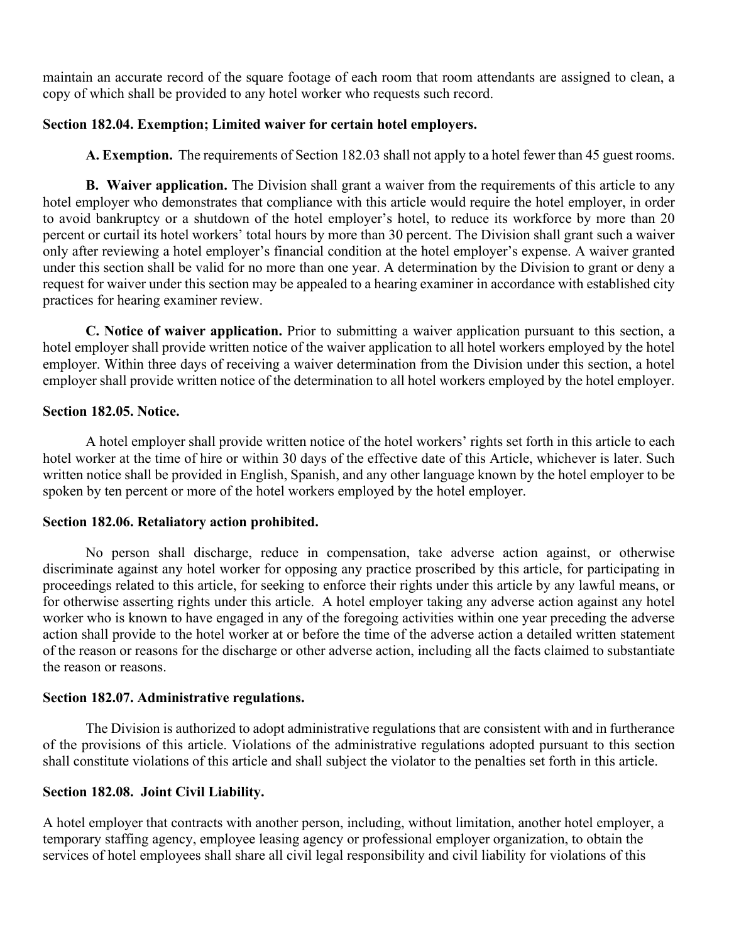maintain an accurate record of the square footage of each room that room attendants are assigned to clean, a copy of which shall be provided to any hotel worker who requests such record.

#### **Section 182.04. Exemption; Limited waiver for certain hotel employers.**

**A. Exemption.** The requirements of Section 182.03 shall not apply to a hotel fewer than 45 guest rooms.

**B. Waiver application.** The Division shall grant a waiver from the requirements of this article to any hotel employer who demonstrates that compliance with this article would require the hotel employer, in order to avoid bankruptcy or a shutdown of the hotel employer's hotel, to reduce its workforce by more than 20 percent or curtail its hotel workers' total hours by more than 30 percent. The Division shall grant such a waiver only after reviewing a hotel employer's financial condition at the hotel employer's expense. A waiver granted under this section shall be valid for no more than one year. A determination by the Division to grant or deny a request for waiver under this section may be appealed to a hearing examiner in accordance with established city practices for hearing examiner review.

**C. Notice of waiver application.** Prior to submitting a waiver application pursuant to this section, a hotel employer shall provide written notice of the waiver application to all hotel workers employed by the hotel employer. Within three days of receiving a waiver determination from the Division under this section, a hotel employer shall provide written notice of the determination to all hotel workers employed by the hotel employer.

#### **Section 182.05. Notice.**

A hotel employer shall provide written notice of the hotel workers' rights set forth in this article to each hotel worker at the time of hire or within 30 days of the effective date of this Article, whichever is later. Such written notice shall be provided in English, Spanish, and any other language known by the hotel employer to be spoken by ten percent or more of the hotel workers employed by the hotel employer.

#### **Section 182.06. Retaliatory action prohibited.**

No person shall discharge, reduce in compensation, take adverse action against, or otherwise discriminate against any hotel worker for opposing any practice proscribed by this article, for participating in proceedings related to this article, for seeking to enforce their rights under this article by any lawful means, or for otherwise asserting rights under this article. A hotel employer taking any adverse action against any hotel worker who is known to have engaged in any of the foregoing activities within one year preceding the adverse action shall provide to the hotel worker at or before the time of the adverse action a detailed written statement of the reason or reasons for the discharge or other adverse action, including all the facts claimed to substantiate the reason or reasons.

#### **Section 182.07. Administrative regulations.**

The Division is authorized to adopt administrative regulations that are consistent with and in furtherance of the provisions of this article. Violations of the administrative regulations adopted pursuant to this section shall constitute violations of this article and shall subject the violator to the penalties set forth in this article.

#### **Section 182.08. Joint Civil Liability.**

A hotel employer that contracts with another person, including, without limitation, another hotel employer, a temporary staffing agency, employee leasing agency or professional employer organization, to obtain the services of hotel employees shall share all civil legal responsibility and civil liability for violations of this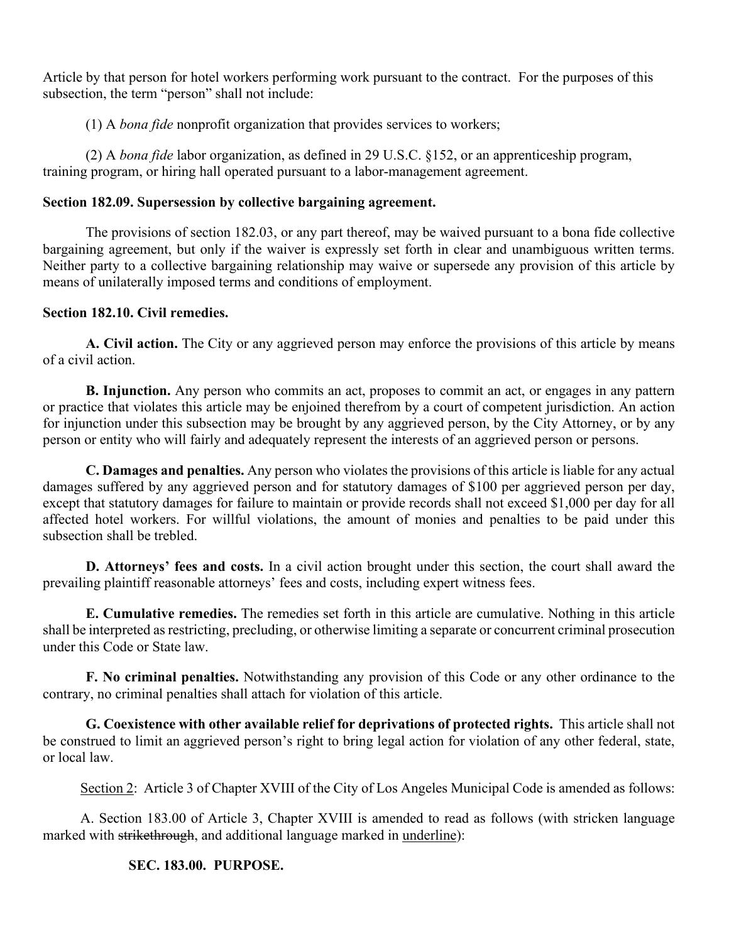Article by that person for hotel workers performing work pursuant to the contract. For the purposes of this subsection, the term "person" shall not include:

(1) A *bona fide* nonprofit organization that provides services to workers;

 (2) A *bona fide* labor organization, as defined in 29 U.S.C. §152, or an apprenticeship program, training program, or hiring hall operated pursuant to a labor-management agreement.

#### **Section 182.09. Supersession by collective bargaining agreement.**

The provisions of section 182.03, or any part thereof, may be waived pursuant to a bona fide collective bargaining agreement, but only if the waiver is expressly set forth in clear and unambiguous written terms. Neither party to a collective bargaining relationship may waive or supersede any provision of this article by means of unilaterally imposed terms and conditions of employment.

#### **Section 182.10. Civil remedies.**

**A. Civil action.** The City or any aggrieved person may enforce the provisions of this article by means of a civil action.

**B. Injunction.** Any person who commits an act, proposes to commit an act, or engages in any pattern or practice that violates this article may be enjoined therefrom by a court of competent jurisdiction. An action for injunction under this subsection may be brought by any aggrieved person, by the City Attorney, or by any person or entity who will fairly and adequately represent the interests of an aggrieved person or persons.

**C. Damages and penalties.** Any person who violates the provisions of this article is liable for any actual damages suffered by any aggrieved person and for statutory damages of \$100 per aggrieved person per day, except that statutory damages for failure to maintain or provide records shall not exceed \$1,000 per day for all affected hotel workers. For willful violations, the amount of monies and penalties to be paid under this subsection shall be trebled.

**D. Attorneys' fees and costs.** In a civil action brought under this section, the court shall award the prevailing plaintiff reasonable attorneys' fees and costs, including expert witness fees.

**E. Cumulative remedies.** The remedies set forth in this article are cumulative. Nothing in this article shall be interpreted as restricting, precluding, or otherwise limiting a separate or concurrent criminal prosecution under this Code or State law.

**F. No criminal penalties.** Notwithstanding any provision of this Code or any other ordinance to the contrary, no criminal penalties shall attach for violation of this article.

**G. Coexistence with other available relief for deprivations of protected rights.** This article shall not be construed to limit an aggrieved person's right to bring legal action for violation of any other federal, state, or local law.

Section 2: Article 3 of Chapter XVIII of the City of Los Angeles Municipal Code is amended as follows:

A. Section 183.00 of Article 3, Chapter XVIII is amended to read as follows (with stricken language marked with strikethrough, and additional language marked in underline):

#### **SEC. 183.00. PURPOSE.**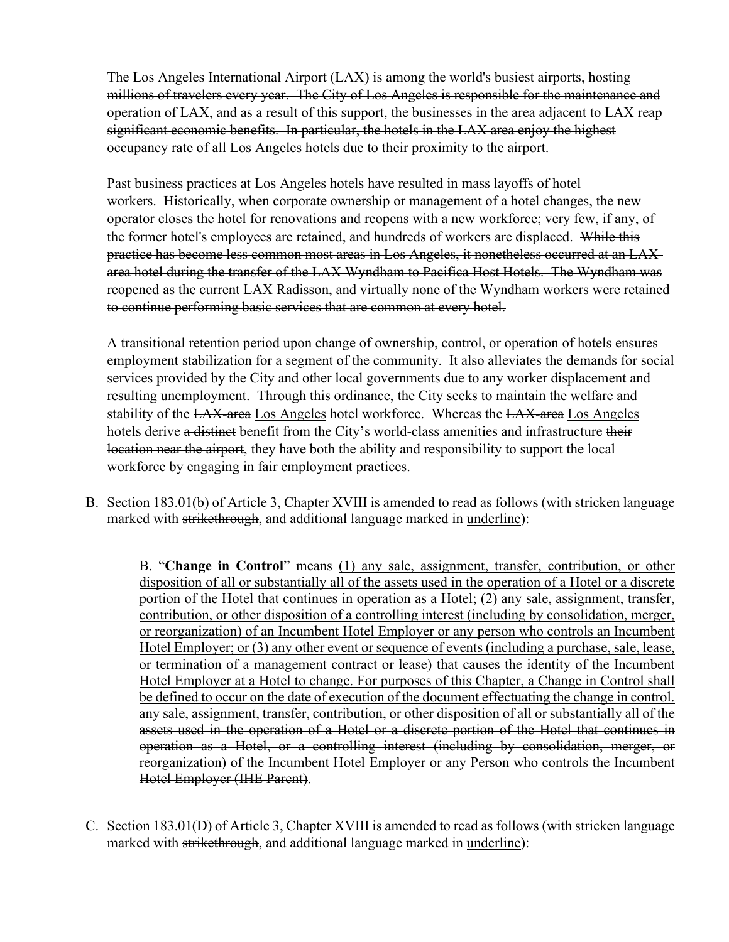The Los Angeles International Airport (LAX) is among the world's busiest airports, hosting millions of travelers every year. The City of Los Angeles is responsible for the maintenance and operation of LAX, and as a result of this support, the businesses in the area adjacent to LAX reap significant economic benefits. In particular, the hotels in the LAX area enjoy the highest occupancy rate of all Los Angeles hotels due to their proximity to the airport.

Past business practices at Los Angeles hotels have resulted in mass layoffs of hotel workers. Historically, when corporate ownership or management of a hotel changes, the new operator closes the hotel for renovations and reopens with a new workforce; very few, if any, of the former hotel's employees are retained, and hundreds of workers are displaced. While this practice has become less common most areas in Los Angeles, it nonetheless occurred at an LAXarea hotel during the transfer of the LAX Wyndham to Pacifica Host Hotels. The Wyndham was reopened as the current LAX Radisson, and virtually none of the Wyndham workers were retained to continue performing basic services that are common at every hotel.

A transitional retention period upon change of ownership, control, or operation of hotels ensures employment stabilization for a segment of the community. It also alleviates the demands for social services provided by the City and other local governments due to any worker displacement and resulting unemployment. Through this ordinance, the City seeks to maintain the welfare and stability of the LAX-area Los Angeles hotel workforce. Whereas the LAX-area Los Angeles hotels derive a distinct benefit from the City's world-class amenities and infrastructure their location near the airport, they have both the ability and responsibility to support the local workforce by engaging in fair employment practices.

B. Section 183.01(b) of Article 3, Chapter XVIII is amended to read as follows (with stricken language marked with strikethrough, and additional language marked in underline):

B. "**Change in Control**" means (1) any sale, assignment, transfer, contribution, or other disposition of all or substantially all of the assets used in the operation of a Hotel or a discrete portion of the Hotel that continues in operation as a Hotel; (2) any sale, assignment, transfer, contribution, or other disposition of a controlling interest (including by consolidation, merger, or reorganization) of an Incumbent Hotel Employer or any person who controls an Incumbent Hotel Employer; or (3) any other event or sequence of events (including a purchase, sale, lease, or termination of a management contract or lease) that causes the identity of the Incumbent Hotel Employer at a Hotel to change. For purposes of this Chapter, a Change in Control shall be defined to occur on the date of execution of the document effectuating the change in control. any sale, assignment, transfer, contribution, or other disposition of all or substantially all of the assets used in the operation of a Hotel or a discrete portion of the Hotel that continues in operation as a Hotel, or a controlling interest (including by consolidation, merger, or reorganization) of the Incumbent Hotel Employer or any Person who controls the Incumbent Hotel Employer (IHE Parent).

C. Section 183.01(D) of Article 3, Chapter XVIII is amended to read as follows (with stricken language marked with strikethrough, and additional language marked in underline):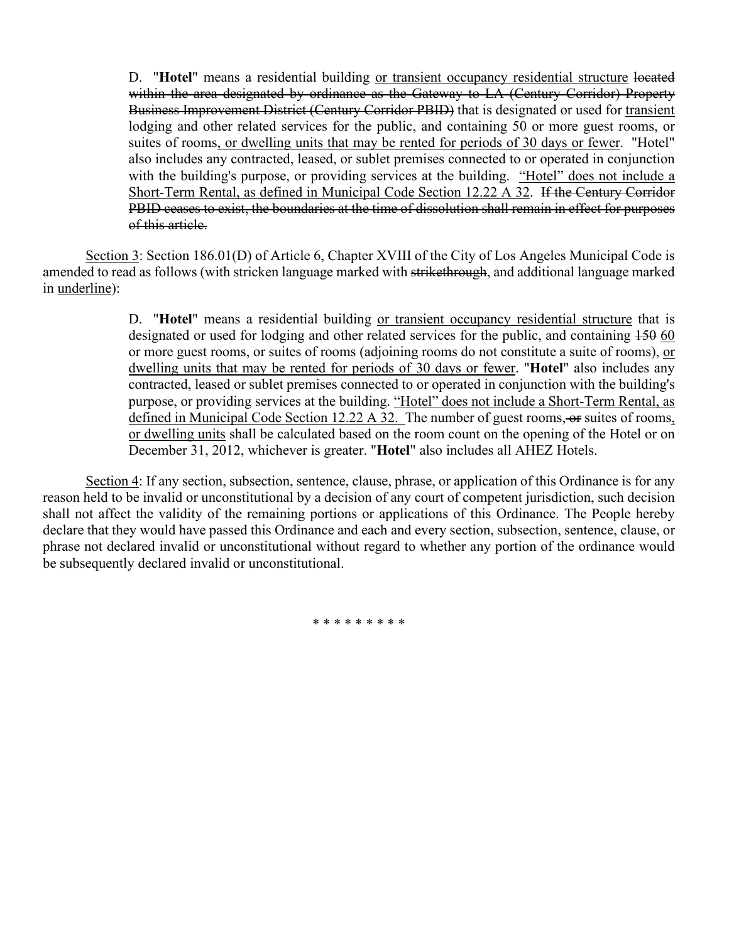D. "**Hotel**" means a residential building or transient occupancy residential structure located within the area designated by ordinance as the Gateway to LA (Century Corridor) Property Business Improvement District (Century Corridor PBID) that is designated or used for transient lodging and other related services for the public, and containing 50 or more guest rooms, or suites of rooms, or dwelling units that may be rented for periods of 30 days or fewer. "Hotel" also includes any contracted, leased, or sublet premises connected to or operated in conjunction with the building's purpose, or providing services at the building. "Hotel" does not include a Short-Term Rental, as defined in Municipal Code Section 12.22 A 32. If the Century Corridor PBID ceases to exist, the boundaries at the time of dissolution shall remain in effect for purposes of this article.

Section 3: Section 186.01(D) of Article 6, Chapter XVIII of the City of Los Angeles Municipal Code is amended to read as follows (with stricken language marked with strikethrough, and additional language marked in underline):

> D. "**Hotel**" means a residential building or transient occupancy residential structure that is designated or used for lodging and other related services for the public, and containing  $150,60$ or more guest rooms, or suites of rooms (adjoining rooms do not constitute a suite of rooms), or dwelling units that may be rented for periods of 30 days or fewer. "**Hotel**" also includes any contracted, leased or sublet premises connected to or operated in conjunction with the building's purpose, or providing services at the building. "Hotel" does not include a Short-Term Rental, as defined in Municipal Code Section 12.22 A 32. The number of guest rooms, or suites of rooms, or dwelling units shall be calculated based on the room count on the opening of the Hotel or on December 31, 2012, whichever is greater. "**Hotel**" also includes all AHEZ Hotels.

Section 4: If any section, subsection, sentence, clause, phrase, or application of this Ordinance is for any reason held to be invalid or unconstitutional by a decision of any court of competent jurisdiction, such decision shall not affect the validity of the remaining portions or applications of this Ordinance. The People hereby declare that they would have passed this Ordinance and each and every section, subsection, sentence, clause, or phrase not declared invalid or unconstitutional without regard to whether any portion of the ordinance would be subsequently declared invalid or unconstitutional.

\* \* \* \* \* \* \* \* \*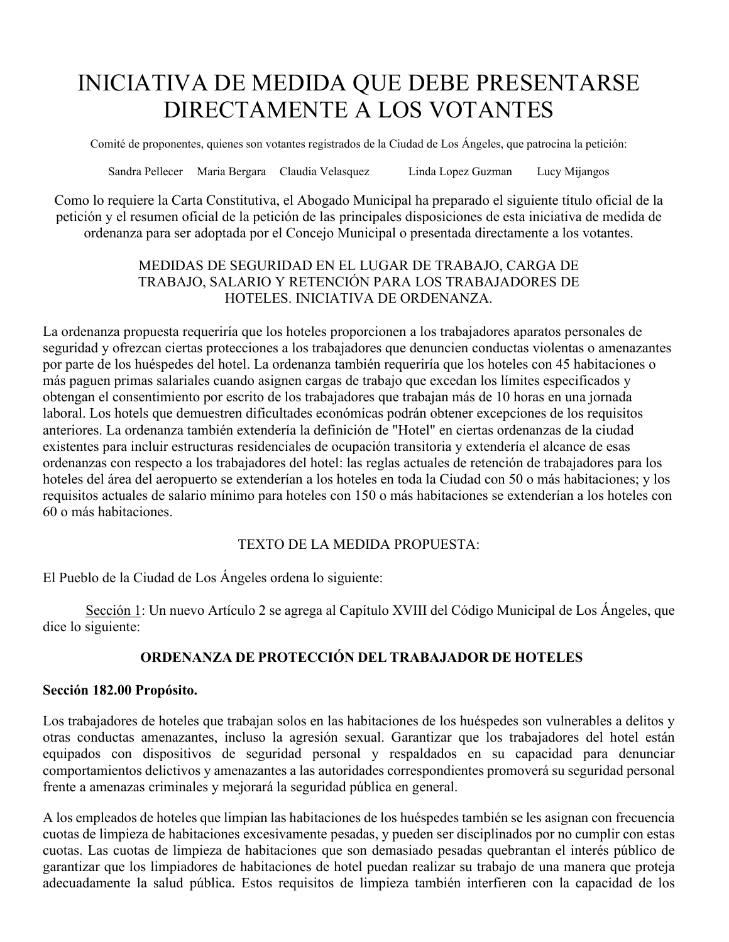# INICIATIVA DE MEDIDA QUE DEBE PRESENTARSE DIRECTAMENTE A LOS VOTANTES

Comité de proponentes, quienes son votantes registrados de la Ciudad de Los Ángeles, que patrocina la petición:

Sandra Pellecer Maria Bergara Claudia Velasquez Linda Lopez Guzman Lucy Mijangos

Como lo requiere la Carta Constitutiva, el Abogado Municipal ha preparado el siguiente título oficial de la petición y el resumen oficial de la petición de las principales disposiciones de esta iniciativa de medida de ordenanza para ser adoptada por el Concejo Municipal o presentada directamente a los votantes.

#### MEDIDAS DE SEGURIDAD EN EL LUGAR DE TRABAJO, CARGA DE TRABAJO, SALARIO Y RETENCIÓN PARA LOS TRABAJADORES DE HOTELES. INICIATIVA DE ORDENANZA.

La ordenanza propuesta requeriría que los hoteles proporcionen a los trabajadores aparatos personales de seguridad y ofrezcan ciertas protecciones a los trabajadores que denuncien conductas violentas o amenazantes por parte de los huéspedes del hotel. La ordenanza también requeriría que los hoteles con 45 habitaciones o más paguen primas salariales cuando asignen cargas de trabajo que excedan los límites especificados y obtengan el consentimiento por escrito de los trabajadores que trabajan más de 10 horas en una jornada laboral. Los hotels que demuestren dificultades económicas podrán obtener excepciones de los requisitos anteriores. La ordenanza también extendería la definición de "Hotel" en ciertas ordenanzas de la ciudad existentes para incluir estructuras residenciales de ocupación transitoria y extendería el alcance de esas ordenanzas con respecto a los trabajadores del hotel: las reglas actuales de retención de trabajadores para los hoteles del área del aeropuerto se extenderían a los hoteles en toda la Ciudad con 50 o más habitaciones; y los requisitos actuales de salario mínimo para hoteles con 150 o más habitaciones se extenderían a los hoteles con 60 o más habitaciones.

#### TEXTO DE LA MEDIDA PROPUESTA:

El Pueblo de la Ciudad de Los Ángeles ordena lo siguiente:

Sección 1: Un nuevo Artículo 2 se agrega al Capítulo XVIII del Código Municipal de Los Ángeles, que dice lo siguiente:

### **ORDENANZA DE PROTECCIÓN DEL TRABAJADOR DE HOTELES**

#### **Sección 182.00 Propósito.**

Los trabajadores de hoteles que trabajan solos en las habitaciones de los huéspedes son vulnerables a delitos y otras conductas amenazantes, incluso la agresión sexual. Garantizar que los trabajadores del hotel están equipados con dispositivos de seguridad personal y respaldados en su capacidad para denunciar comportamientos delictivos y amenazantes a las autoridades correspondientes promoverá su seguridad personal frente a amenazas criminales y mejorará la seguridad pública en general.

A los empleados de hoteles que limpian las habitaciones de los huéspedes también se les asignan con frecuencia cuotas de limpieza de habitaciones excesivamente pesadas, y pueden ser disciplinados por no cumplir con estas cuotas. Las cuotas de limpieza de habitaciones que son demasiado pesadas quebrantan el interés público de garantizar que los limpiadores de habitaciones de hotel puedan realizar su trabajo de una manera que proteja adecuadamente la salud pública. Estos requisitos de limpieza también interfieren con la capacidad de los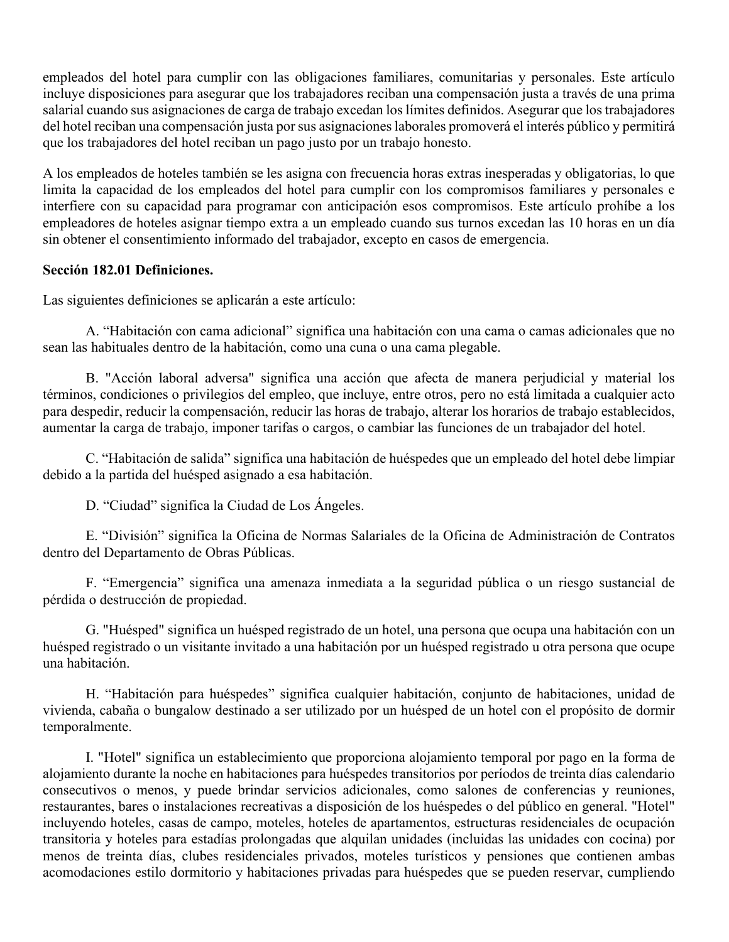empleados del hotel para cumplir con las obligaciones familiares, comunitarias y personales. Este artículo incluye disposiciones para asegurar que los trabajadores reciban una compensación justa a través de una prima salarial cuando sus asignaciones de carga de trabajo excedan los límites definidos. Asegurar que los trabajadores del hotel reciban una compensación justa por sus asignaciones laborales promoverá el interés público y permitirá que los trabajadores del hotel reciban un pago justo por un trabajo honesto.

A los empleados de hoteles también se les asigna con frecuencia horas extras inesperadas y obligatorias, lo que limita la capacidad de los empleados del hotel para cumplir con los compromisos familiares y personales e interfiere con su capacidad para programar con anticipación esos compromisos. Este artículo prohíbe a los empleadores de hoteles asignar tiempo extra a un empleado cuando sus turnos excedan las 10 horas en un día sin obtener el consentimiento informado del trabajador, excepto en casos de emergencia.

#### **Sección 182.01 Definiciones.**

Las siguientes definiciones se aplicarán a este artículo:

A. "Habitación con cama adicional" significa una habitación con una cama o camas adicionales que no sean las habituales dentro de la habitación, como una cuna o una cama plegable.

B. "Acción laboral adversa" significa una acción que afecta de manera perjudicial y material los términos, condiciones o privilegios del empleo, que incluye, entre otros, pero no está limitada a cualquier acto para despedir, reducir la compensación, reducir las horas de trabajo, alterar los horarios de trabajo establecidos, aumentar la carga de trabajo, imponer tarifas o cargos, o cambiar las funciones de un trabajador del hotel.

C. "Habitación de salida" significa una habitación de huéspedes que un empleado del hotel debe limpiar debido a la partida del huésped asignado a esa habitación.

D. "Ciudad" significa la Ciudad de Los Ángeles.

E. "División" significa la Oficina de Normas Salariales de la Oficina de Administración de Contratos dentro del Departamento de Obras Públicas.

F. "Emergencia" significa una amenaza inmediata a la seguridad pública o un riesgo sustancial de pérdida o destrucción de propiedad.

G. "Huésped" significa un huésped registrado de un hotel, una persona que ocupa una habitación con un huésped registrado o un visitante invitado a una habitación por un huésped registrado u otra persona que ocupe una habitación.

H. "Habitación para huéspedes" significa cualquier habitación, conjunto de habitaciones, unidad de vivienda, cabaña o bungalow destinado a ser utilizado por un huésped de un hotel con el propósito de dormir temporalmente.

I. "Hotel" significa un establecimiento que proporciona alojamiento temporal por pago en la forma de alojamiento durante la noche en habitaciones para huéspedes transitorios por períodos de treinta días calendario consecutivos o menos, y puede brindar servicios adicionales, como salones de conferencias y reuniones, restaurantes, bares o instalaciones recreativas a disposición de los huéspedes o del público en general. "Hotel" incluyendo hoteles, casas de campo, moteles, hoteles de apartamentos, estructuras residenciales de ocupación transitoria y hoteles para estadías prolongadas que alquilan unidades (incluidas las unidades con cocina) por menos de treinta días, clubes residenciales privados, moteles turísticos y pensiones que contienen ambas acomodaciones estilo dormitorio y habitaciones privadas para huéspedes que se pueden reservar, cumpliendo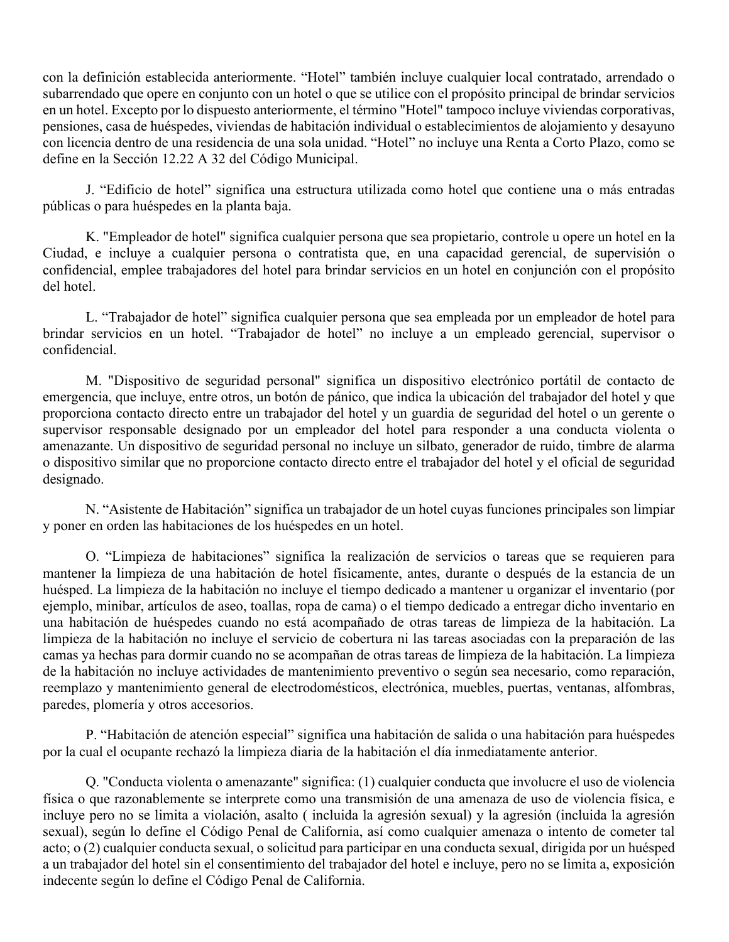con la definición establecida anteriormente. "Hotel" también incluye cualquier local contratado, arrendado o subarrendado que opere en conjunto con un hotel o que se utilice con el propósito principal de brindar servicios en un hotel. Excepto por lo dispuesto anteriormente, el término "Hotel" tampoco incluye viviendas corporativas, pensiones, casa de huéspedes, viviendas de habitación individual o establecimientos de alojamiento y desayuno con licencia dentro de una residencia de una sola unidad. "Hotel" no incluye una Renta a Corto Plazo, como se define en la Sección 12.22 A 32 del Código Municipal.

J. "Edificio de hotel" significa una estructura utilizada como hotel que contiene una o más entradas públicas o para huéspedes en la planta baja.

K. "Empleador de hotel" significa cualquier persona que sea propietario, controle u opere un hotel en la Ciudad, e incluye a cualquier persona o contratista que, en una capacidad gerencial, de supervisión o confidencial, emplee trabajadores del hotel para brindar servicios en un hotel en conjunción con el propósito del hotel.

L. "Trabajador de hotel" significa cualquier persona que sea empleada por un empleador de hotel para brindar servicios en un hotel. "Trabajador de hotel" no incluye a un empleado gerencial, supervisor o confidencial.

M. "Dispositivo de seguridad personal" significa un dispositivo electrónico portátil de contacto de emergencia, que incluye, entre otros, un botón de pánico, que indica la ubicación del trabajador del hotel y que proporciona contacto directo entre un trabajador del hotel y un guardia de seguridad del hotel o un gerente o supervisor responsable designado por un empleador del hotel para responder a una conducta violenta o amenazante. Un dispositivo de seguridad personal no incluye un silbato, generador de ruido, timbre de alarma o dispositivo similar que no proporcione contacto directo entre el trabajador del hotel y el oficial de seguridad designado.

N. "Asistente de Habitación" significa un trabajador de un hotel cuyas funciones principales son limpiar y poner en orden las habitaciones de los huéspedes en un hotel.

O. "Limpieza de habitaciones" significa la realización de servicios o tareas que se requieren para mantener la limpieza de una habitación de hotel físicamente, antes, durante o después de la estancia de un huésped. La limpieza de la habitación no incluye el tiempo dedicado a mantener u organizar el inventario (por ejemplo, minibar, artículos de aseo, toallas, ropa de cama) o el tiempo dedicado a entregar dicho inventario en una habitación de huéspedes cuando no está acompañado de otras tareas de limpieza de la habitación. La limpieza de la habitación no incluye el servicio de cobertura ni las tareas asociadas con la preparación de las camas ya hechas para dormir cuando no se acompañan de otras tareas de limpieza de la habitación. La limpieza de la habitación no incluye actividades de mantenimiento preventivo o según sea necesario, como reparación, reemplazo y mantenimiento general de electrodomésticos, electrónica, muebles, puertas, ventanas, alfombras, paredes, plomería y otros accesorios.

P. "Habitación de atención especial" significa una habitación de salida o una habitación para huéspedes por la cual el ocupante rechazó la limpieza diaria de la habitación el día inmediatamente anterior.

Q. "Conducta violenta o amenazante" significa: (1) cualquier conducta que involucre el uso de violencia física o que razonablemente se interprete como una transmisión de una amenaza de uso de violencia física, e incluye pero no se limita a violación, asalto ( incluida la agresión sexual) y la agresión (incluida la agresión sexual), según lo define el Código Penal de California, así como cualquier amenaza o intento de cometer tal acto; o (2) cualquier conducta sexual, o solicitud para participar en una conducta sexual, dirigida por un huésped a un trabajador del hotel sin el consentimiento del trabajador del hotel e incluye, pero no se limita a, exposición indecente según lo define el Código Penal de California.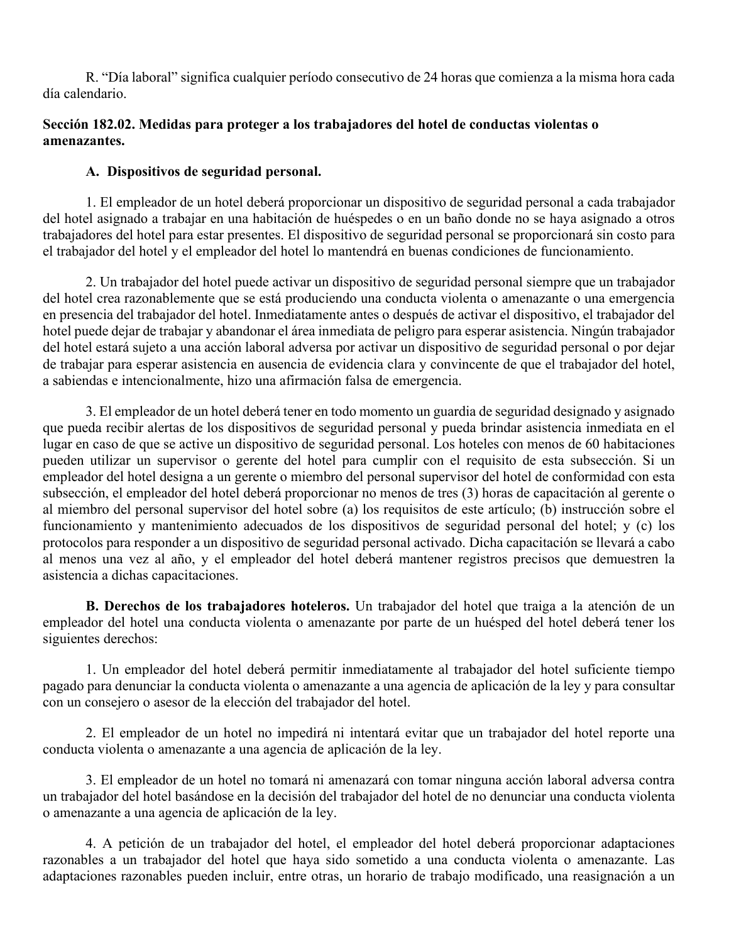R. "Día laboral" significa cualquier período consecutivo de 24 horas que comienza a la misma hora cada día calendario.

#### **Sección 182.02. Medidas para proteger a los trabajadores del hotel de conductas violentas o amenazantes.**

#### **A. Dispositivos de seguridad personal.**

1. El empleador de un hotel deberá proporcionar un dispositivo de seguridad personal a cada trabajador del hotel asignado a trabajar en una habitación de huéspedes o en un baño donde no se haya asignado a otros trabajadores del hotel para estar presentes. El dispositivo de seguridad personal se proporcionará sin costo para el trabajador del hotel y el empleador del hotel lo mantendrá en buenas condiciones de funcionamiento.

2. Un trabajador del hotel puede activar un dispositivo de seguridad personal siempre que un trabajador del hotel crea razonablemente que se está produciendo una conducta violenta o amenazante o una emergencia en presencia del trabajador del hotel. Inmediatamente antes o después de activar el dispositivo, el trabajador del hotel puede dejar de trabajar y abandonar el área inmediata de peligro para esperar asistencia. Ningún trabajador del hotel estará sujeto a una acción laboral adversa por activar un dispositivo de seguridad personal o por dejar de trabajar para esperar asistencia en ausencia de evidencia clara y convincente de que el trabajador del hotel, a sabiendas e intencionalmente, hizo una afirmación falsa de emergencia.

3. El empleador de un hotel deberá tener en todo momento un guardia de seguridad designado y asignado que pueda recibir alertas de los dispositivos de seguridad personal y pueda brindar asistencia inmediata en el lugar en caso de que se active un dispositivo de seguridad personal. Los hoteles con menos de 60 habitaciones pueden utilizar un supervisor o gerente del hotel para cumplir con el requisito de esta subsección. Si un empleador del hotel designa a un gerente o miembro del personal supervisor del hotel de conformidad con esta subsección, el empleador del hotel deberá proporcionar no menos de tres (3) horas de capacitación al gerente o al miembro del personal supervisor del hotel sobre (a) los requisitos de este artículo; (b) instrucción sobre el funcionamiento y mantenimiento adecuados de los dispositivos de seguridad personal del hotel; y (c) los protocolos para responder a un dispositivo de seguridad personal activado. Dicha capacitación se llevará a cabo al menos una vez al año, y el empleador del hotel deberá mantener registros precisos que demuestren la asistencia a dichas capacitaciones.

**B. Derechos de los trabajadores hoteleros.** Un trabajador del hotel que traiga a la atención de un empleador del hotel una conducta violenta o amenazante por parte de un huésped del hotel deberá tener los siguientes derechos:

1. Un empleador del hotel deberá permitir inmediatamente al trabajador del hotel suficiente tiempo pagado para denunciar la conducta violenta o amenazante a una agencia de aplicación de la ley y para consultar con un consejero o asesor de la elección del trabajador del hotel.

2. El empleador de un hotel no impedirá ni intentará evitar que un trabajador del hotel reporte una conducta violenta o amenazante a una agencia de aplicación de la ley.

3. El empleador de un hotel no tomará ni amenazará con tomar ninguna acción laboral adversa contra un trabajador del hotel basándose en la decisión del trabajador del hotel de no denunciar una conducta violenta o amenazante a una agencia de aplicación de la ley.

4. A petición de un trabajador del hotel, el empleador del hotel deberá proporcionar adaptaciones razonables a un trabajador del hotel que haya sido sometido a una conducta violenta o amenazante. Las adaptaciones razonables pueden incluir, entre otras, un horario de trabajo modificado, una reasignación a un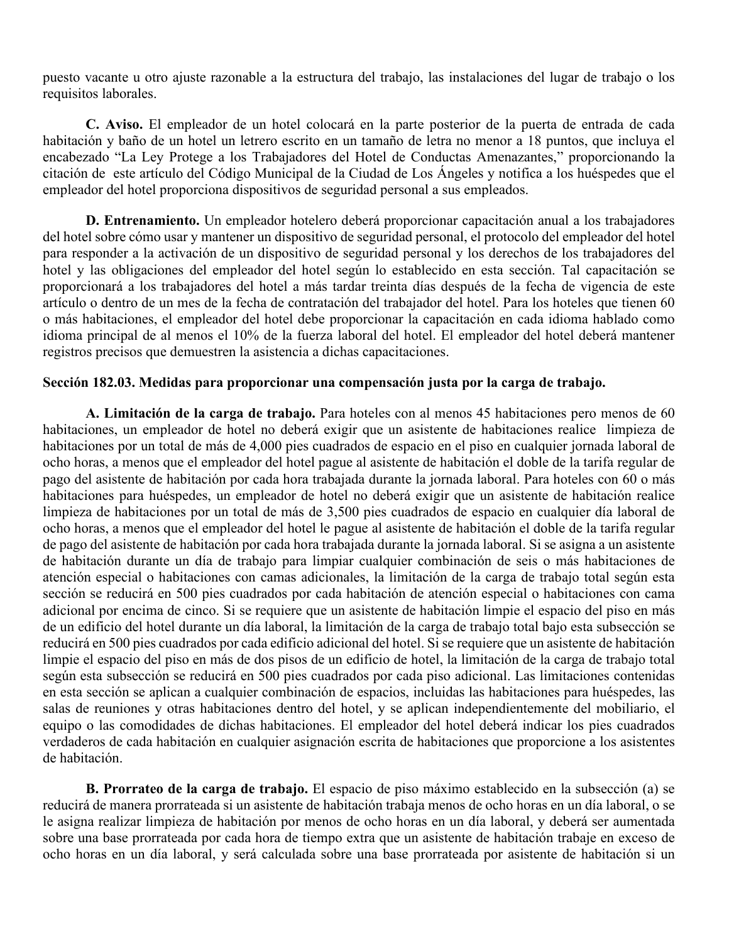puesto vacante u otro ajuste razonable a la estructura del trabajo, las instalaciones del lugar de trabajo o los requisitos laborales.

**C. Aviso.** El empleador de un hotel colocará en la parte posterior de la puerta de entrada de cada habitación y baño de un hotel un letrero escrito en un tamaño de letra no menor a 18 puntos, que incluya el encabezado "La Ley Protege a los Trabajadores del Hotel de Conductas Amenazantes," proporcionando la citación de este artículo del Código Municipal de la Ciudad de Los Ángeles y notifica a los huéspedes que el empleador del hotel proporciona dispositivos de seguridad personal a sus empleados.

**D. Entrenamiento.** Un empleador hotelero deberá proporcionar capacitación anual a los trabajadores del hotel sobre cómo usar y mantener un dispositivo de seguridad personal, el protocolo del empleador del hotel para responder a la activación de un dispositivo de seguridad personal y los derechos de los trabajadores del hotel y las obligaciones del empleador del hotel según lo establecido en esta sección. Tal capacitación se proporcionará a los trabajadores del hotel a más tardar treinta días después de la fecha de vigencia de este artículo o dentro de un mes de la fecha de contratación del trabajador del hotel. Para los hoteles que tienen 60 o más habitaciones, el empleador del hotel debe proporcionar la capacitación en cada idioma hablado como idioma principal de al menos el 10% de la fuerza laboral del hotel. El empleador del hotel deberá mantener registros precisos que demuestren la asistencia a dichas capacitaciones.

#### **Sección 182.03. Medidas para proporcionar una compensación justa por la carga de trabajo.**

**A. Limitación de la carga de trabajo.** Para hoteles con al menos 45 habitaciones pero menos de 60 habitaciones, un empleador de hotel no deberá exigir que un asistente de habitaciones realice limpieza de habitaciones por un total de más de 4,000 pies cuadrados de espacio en el piso en cualquier jornada laboral de ocho horas, a menos que el empleador del hotel pague al asistente de habitación el doble de la tarifa regular de pago del asistente de habitación por cada hora trabajada durante la jornada laboral. Para hoteles con 60 o más habitaciones para huéspedes, un empleador de hotel no deberá exigir que un asistente de habitación realice limpieza de habitaciones por un total de más de 3,500 pies cuadrados de espacio en cualquier día laboral de ocho horas, a menos que el empleador del hotel le pague al asistente de habitación el doble de la tarifa regular de pago del asistente de habitación por cada hora trabajada durante la jornada laboral. Si se asigna a un asistente de habitación durante un día de trabajo para limpiar cualquier combinación de seis o más habitaciones de atención especial o habitaciones con camas adicionales, la limitación de la carga de trabajo total según esta sección se reducirá en 500 pies cuadrados por cada habitación de atención especial o habitaciones con cama adicional por encima de cinco. Si se requiere que un asistente de habitación limpie el espacio del piso en más de un edificio del hotel durante un día laboral, la limitación de la carga de trabajo total bajo esta subsección se reducirá en 500 pies cuadrados por cada edificio adicional del hotel. Si se requiere que un asistente de habitación limpie el espacio del piso en más de dos pisos de un edificio de hotel, la limitación de la carga de trabajo total según esta subsección se reducirá en 500 pies cuadrados por cada piso adicional. Las limitaciones contenidas en esta sección se aplican a cualquier combinación de espacios, incluidas las habitaciones para huéspedes, las salas de reuniones y otras habitaciones dentro del hotel, y se aplican independientemente del mobiliario, el equipo o las comodidades de dichas habitaciones. El empleador del hotel deberá indicar los pies cuadrados verdaderos de cada habitación en cualquier asignación escrita de habitaciones que proporcione a los asistentes de habitación.

**B. Prorrateo de la carga de trabajo.** El espacio de piso máximo establecido en la subsección (a) se reducirá de manera prorrateada si un asistente de habitación trabaja menos de ocho horas en un día laboral, o se le asigna realizar limpieza de habitación por menos de ocho horas en un día laboral, y deberá ser aumentada sobre una base prorrateada por cada hora de tiempo extra que un asistente de habitación trabaje en exceso de ocho horas en un día laboral, y será calculada sobre una base prorrateada por asistente de habitación si un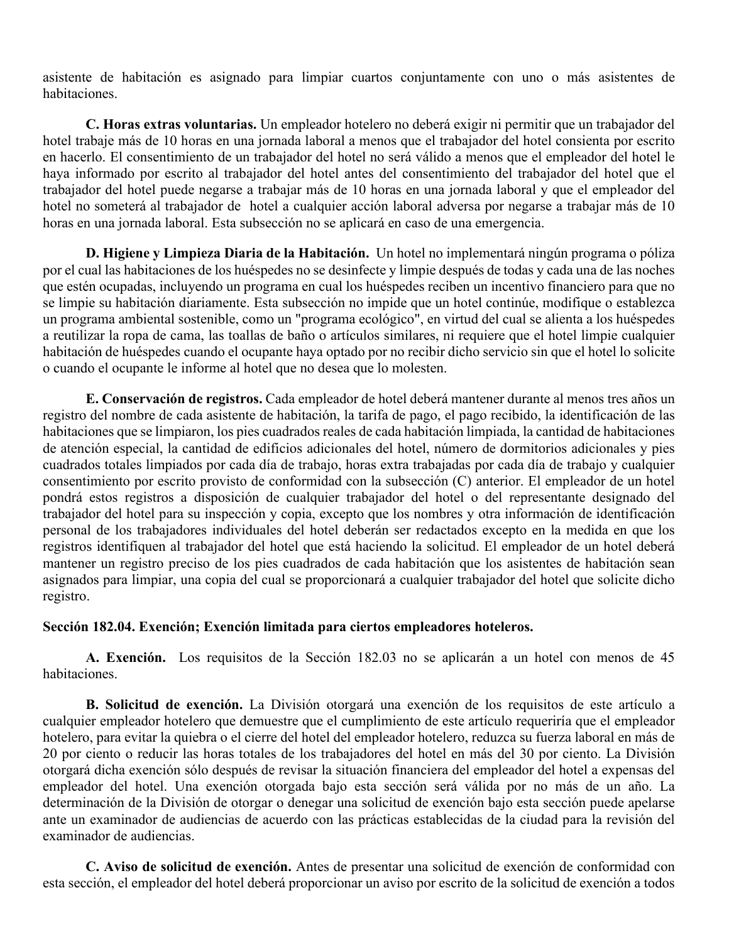asistente de habitación es asignado para limpiar cuartos conjuntamente con uno o más asistentes de habitaciones.

**C. Horas extras voluntarias.** Un empleador hotelero no deberá exigir ni permitir que un trabajador del hotel trabaje más de 10 horas en una jornada laboral a menos que el trabajador del hotel consienta por escrito en hacerlo. El consentimiento de un trabajador del hotel no será válido a menos que el empleador del hotel le haya informado por escrito al trabajador del hotel antes del consentimiento del trabajador del hotel que el trabajador del hotel puede negarse a trabajar más de 10 horas en una jornada laboral y que el empleador del hotel no someterá al trabajador de hotel a cualquier acción laboral adversa por negarse a trabajar más de 10 horas en una jornada laboral. Esta subsección no se aplicará en caso de una emergencia.

**D. Higiene y Limpieza Diaria de la Habitación.** Un hotel no implementará ningún programa o póliza por el cual las habitaciones de los huéspedes no se desinfecte y limpie después de todas y cada una de las noches que estén ocupadas, incluyendo un programa en cual los huéspedes reciben un incentivo financiero para que no se limpie su habitación diariamente. Esta subsección no impide que un hotel continúe, modifique o establezca un programa ambiental sostenible, como un "programa ecológico", en virtud del cual se alienta a los huéspedes a reutilizar la ropa de cama, las toallas de baño o artículos similares, ni requiere que el hotel limpie cualquier habitación de huéspedes cuando el ocupante haya optado por no recibir dicho servicio sin que el hotel lo solicite o cuando el ocupante le informe al hotel que no desea que lo molesten.

**E. Conservación de registros.** Cada empleador de hotel deberá mantener durante al menos tres años un registro del nombre de cada asistente de habitación, la tarifa de pago, el pago recibido, la identificación de las habitaciones que se limpiaron, los pies cuadrados reales de cada habitación limpiada, la cantidad de habitaciones de atención especial, la cantidad de edificios adicionales del hotel, número de dormitorios adicionales y pies cuadrados totales limpiados por cada día de trabajo, horas extra trabajadas por cada día de trabajo y cualquier consentimiento por escrito provisto de conformidad con la subsección (C) anterior. El empleador de un hotel pondrá estos registros a disposición de cualquier trabajador del hotel o del representante designado del trabajador del hotel para su inspección y copia, excepto que los nombres y otra información de identificación personal de los trabajadores individuales del hotel deberán ser redactados excepto en la medida en que los registros identifiquen al trabajador del hotel que está haciendo la solicitud. El empleador de un hotel deberá mantener un registro preciso de los pies cuadrados de cada habitación que los asistentes de habitación sean asignados para limpiar, una copia del cual se proporcionará a cualquier trabajador del hotel que solicite dicho registro.

#### **Sección 182.04. Exención; Exención limitada para ciertos empleadores hoteleros.**

**A. Exención.** Los requisitos de la Sección 182.03 no se aplicarán a un hotel con menos de 45 habitaciones.

**B. Solicitud de exención.** La División otorgará una exención de los requisitos de este artículo a cualquier empleador hotelero que demuestre que el cumplimiento de este artículo requeriría que el empleador hotelero, para evitar la quiebra o el cierre del hotel del empleador hotelero, reduzca su fuerza laboral en más de 20 por ciento o reducir las horas totales de los trabajadores del hotel en más del 30 por ciento. La División otorgará dicha exención sólo después de revisar la situación financiera del empleador del hotel a expensas del empleador del hotel. Una exención otorgada bajo esta sección será válida por no más de un año. La determinación de la División de otorgar o denegar una solicitud de exención bajo esta sección puede apelarse ante un examinador de audiencias de acuerdo con las prácticas establecidas de la ciudad para la revisión del examinador de audiencias.

**C. Aviso de solicitud de exención.** Antes de presentar una solicitud de exención de conformidad con esta sección, el empleador del hotel deberá proporcionar un aviso por escrito de la solicitud de exención a todos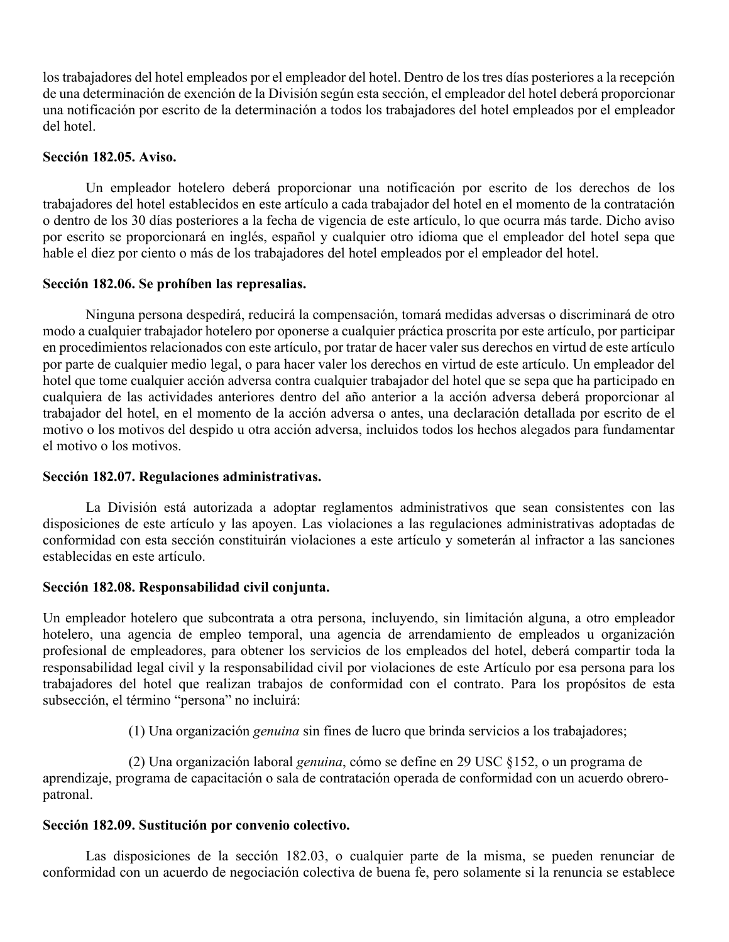los trabajadores del hotel empleados por el empleador del hotel. Dentro de los tres días posteriores a la recepción de una determinación de exención de la División según esta sección, el empleador del hotel deberá proporcionar una notificación por escrito de la determinación a todos los trabajadores del hotel empleados por el empleador del hotel.

#### **Sección 182.05. Aviso.**

Un empleador hotelero deberá proporcionar una notificación por escrito de los derechos de los trabajadores del hotel establecidos en este artículo a cada trabajador del hotel en el momento de la contratación o dentro de los 30 días posteriores a la fecha de vigencia de este artículo, lo que ocurra más tarde. Dicho aviso por escrito se proporcionará en inglés, español y cualquier otro idioma que el empleador del hotel sepa que hable el diez por ciento o más de los trabajadores del hotel empleados por el empleador del hotel.

#### **Sección 182.06. Se prohíben las represalias.**

Ninguna persona despedirá, reducirá la compensación, tomará medidas adversas o discriminará de otro modo a cualquier trabajador hotelero por oponerse a cualquier práctica proscrita por este artículo, por participar en procedimientos relacionados con este artículo, por tratar de hacer valer sus derechos en virtud de este artículo por parte de cualquier medio legal, o para hacer valer los derechos en virtud de este artículo. Un empleador del hotel que tome cualquier acción adversa contra cualquier trabajador del hotel que se sepa que ha participado en cualquiera de las actividades anteriores dentro del año anterior a la acción adversa deberá proporcionar al trabajador del hotel, en el momento de la acción adversa o antes, una declaración detallada por escrito de el motivo o los motivos del despido u otra acción adversa, incluidos todos los hechos alegados para fundamentar el motivo o los motivos.

#### **Sección 182.07. Regulaciones administrativas.**

La División está autorizada a adoptar reglamentos administrativos que sean consistentes con las disposiciones de este artículo y las apoyen. Las violaciones a las regulaciones administrativas adoptadas de conformidad con esta sección constituirán violaciones a este artículo y someterán al infractor a las sanciones establecidas en este artículo.

#### **Sección 182.08. Responsabilidad civil conjunta.**

Un empleador hotelero que subcontrata a otra persona, incluyendo, sin limitación alguna, a otro empleador hotelero, una agencia de empleo temporal, una agencia de arrendamiento de empleados u organización profesional de empleadores, para obtener los servicios de los empleados del hotel, deberá compartir toda la responsabilidad legal civil y la responsabilidad civil por violaciones de este Artículo por esa persona para los trabajadores del hotel que realizan trabajos de conformidad con el contrato. Para los propósitos de esta subsección, el término "persona" no incluirá:

(1) Una organización *genuina* sin fines de lucro que brinda servicios a los trabajadores;

 (2) Una organización laboral *genuina*, cómo se define en 29 USC §152, o un programa de aprendizaje, programa de capacitación o sala de contratación operada de conformidad con un acuerdo obreropatronal.

#### **Sección 182.09. Sustitución por convenio colectivo.**

Las disposiciones de la sección 182.03, o cualquier parte de la misma, se pueden renunciar de conformidad con un acuerdo de negociación colectiva de buena fe, pero solamente si la renuncia se establece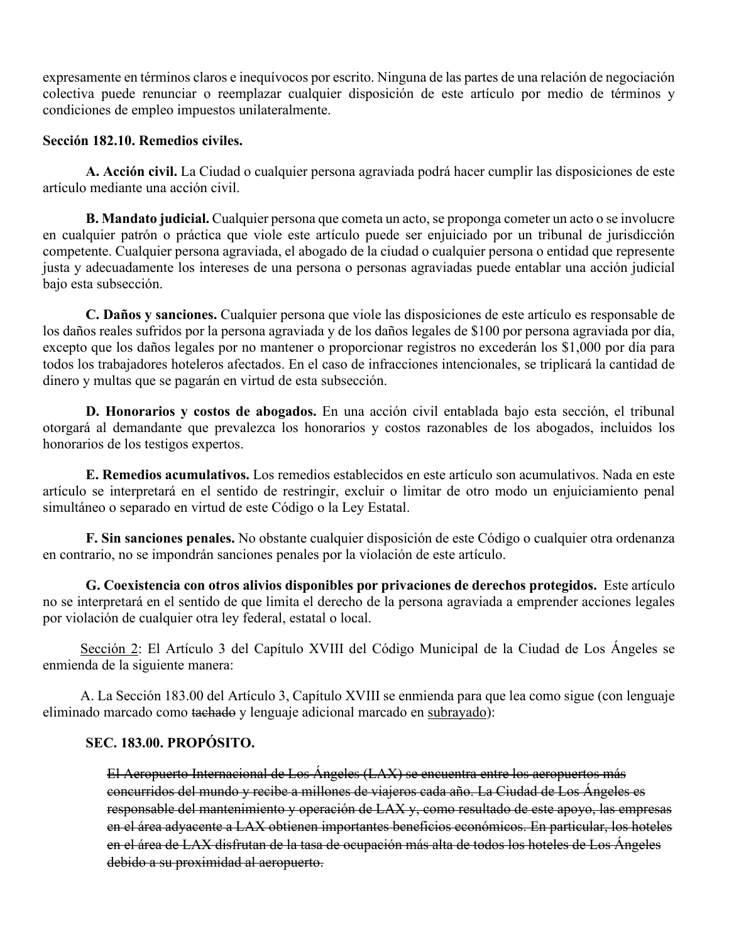expresamente en términos claros e inequívocos por escrito. Ninguna de las partes de una relación de negociación colectiva puede renunciar o reemplazar cualquier disposición de este artículo por medio de términos y condiciones de empleo impuestos unilateralmente.

#### **Sección 182.10. Remedios civiles.**

**A. Acción civil.** La Ciudad o cualquier persona agraviada podrá hacer cumplir las disposiciones de este artículo mediante una acción civil.

**B. Mandato judicial.** Cualquier persona que cometa un acto, se proponga cometer un acto o se involucre en cualquier patrón o práctica que viole este artículo puede ser enjuiciado por un tribunal de jurisdicción competente. Cualquier persona agraviada, el abogado de la ciudad o cualquier persona o entidad que represente justa y adecuadamente los intereses de una persona o personas agraviadas puede entablar una acción judicial bajo esta subsección.

**C. Daños y sanciones.** Cualquier persona que viole las disposiciones de este artículo es responsable de los daños reales sufridos por la persona agraviada y de los daños legales de \$100 por persona agraviada por día, excepto que los daños legales por no mantener o proporcionar registros no excederán los \$1,000 por día para todos los trabajadores hoteleros afectados. En el caso de infracciones intencionales, se triplicará la cantidad de dinero y multas que se pagarán en virtud de esta subsección.

**D. Honorarios y costos de abogados.** En una acción civil entablada bajo esta sección, el tribunal otorgará al demandante que prevalezca los honorarios y costos razonables de los abogados, incluidos los honorarios de los testigos expertos.

**E. Remedios acumulativos.** Los remedios establecidos en este artículo son acumulativos. Nada en este artículo se interpretará en el sentido de restringir, excluir o limitar de otro modo un enjuiciamiento penal simultáneo o separado en virtud de este Código o la Ley Estatal.

**F. Sin sanciones penales.** No obstante cualquier disposición de este Código o cualquier otra ordenanza en contrario, no se impondrán sanciones penales por la violación de este artículo.

**G. Coexistencia con otros alivios disponibles por privaciones de derechos protegidos.** Este artículo no se interpretará en el sentido de que limita el derecho de la persona agraviada a emprender acciones legales por violación de cualquier otra ley federal, estatal o local.

Sección 2: El Artículo 3 del Capítulo XVIII del Código Municipal de la Ciudad de Los Ángeles se enmienda de la siguiente manera:

A. La Sección 183.00 del Artículo 3, Capítulo XVIII se enmienda para que lea como sigue (con lenguaje eliminado marcado como tachado y lenguaje adicional marcado en subrayado):

#### **SEC. 183.00. PROPÓSITO.**

El Aeropuerto Internacional de Los Ángeles (LAX) se encuentra entre los aeropuertos más concurridos del mundo y recibe a millones de viajeros cada año. La Ciudad de Los Ángeles es responsable del mantenimiento y operación de LAX y, como resultado de este apoyo, las empresas en el área adyacente a LAX obtienen importantes beneficios económicos. En particular, los hoteles en el área de LAX disfrutan de la tasa de ocupación más alta de todos los hoteles de Los Ángeles debido a su proximidad al aeropuerto.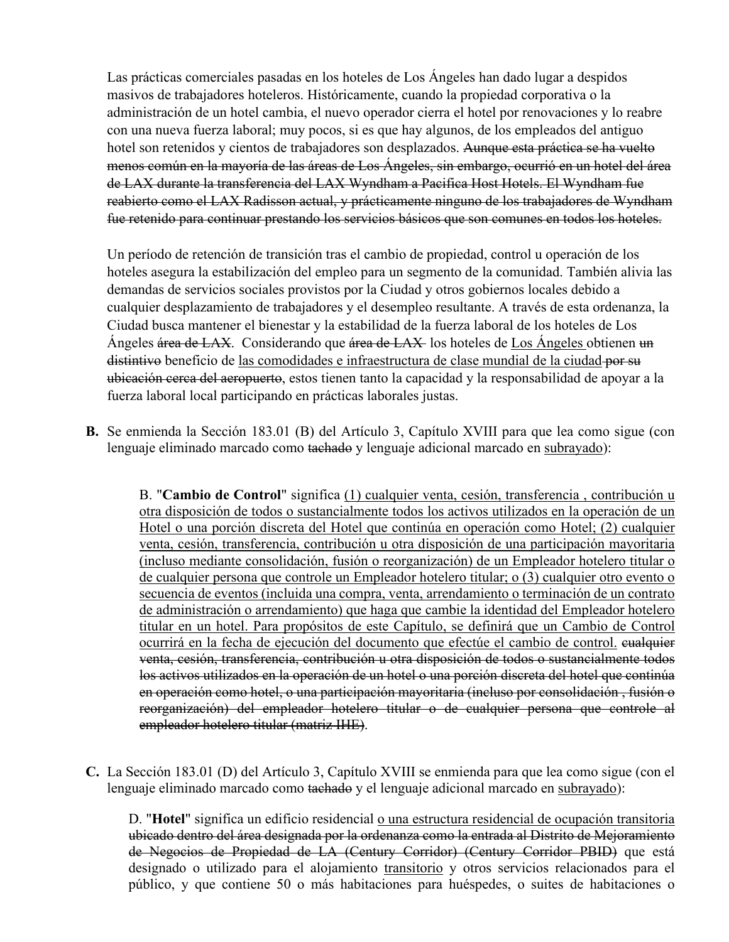Las prácticas comerciales pasadas en los hoteles de Los Ángeles han dado lugar a despidos masivos de trabajadores hoteleros. Históricamente, cuando la propiedad corporativa o la administración de un hotel cambia, el nuevo operador cierra el hotel por renovaciones y lo reabre con una nueva fuerza laboral; muy pocos, si es que hay algunos, de los empleados del antiguo hotel son retenidos y cientos de trabajadores son desplazados. Aunque esta práctica se ha vuelto menos común en la mayoría de las áreas de Los Ángeles, sin embargo, ocurrió en un hotel del área de LAX durante la transferencia del LAX Wyndham a Pacifica Host Hotels. El Wyndham fue reabierto como el LAX Radisson actual, y prácticamente ninguno de los trabajadores de Wyndham fue retenido para continuar prestando los servicios básicos que son comunes en todos los hoteles.

Un período de retención de transición tras el cambio de propiedad, control u operación de los hoteles asegura la estabilización del empleo para un segmento de la comunidad. También alivia las demandas de servicios sociales provistos por la Ciudad y otros gobiernos locales debido a cualquier desplazamiento de trabajadores y el desempleo resultante. A través de esta ordenanza, la Ciudad busca mantener el bienestar y la estabilidad de la fuerza laboral de los hoteles de Los Ángeles área de LAX. Considerando que área de LAX los hoteles de Los Ángeles obtienen un distintivo beneficio de las comodidades e infraestructura de clase mundial de la ciudad-por su ubicación cerca del aeropuerto, estos tienen tanto la capacidad y la responsabilidad de apoyar a la fuerza laboral local participando en prácticas laborales justas.

**B.** Se enmienda la Sección 183.01 (B) del Artículo 3, Capítulo XVIII para que lea como sigue (con lenguaje eliminado marcado como tachado y lenguaje adicional marcado en subrayado):

B. "**Cambio de Control**" significa (1) cualquier venta, cesión, transferencia , contribución u otra disposición de todos o sustancialmente todos los activos utilizados en la operación de un Hotel o una porción discreta del Hotel que continúa en operación como Hotel; (2) cualquier venta, cesión, transferencia, contribución u otra disposición de una participación mayoritaria (incluso mediante consolidación, fusión o reorganización) de un Empleador hotelero titular o de cualquier persona que controle un Empleador hotelero titular; o (3) cualquier otro evento o secuencia de eventos (incluida una compra, venta, arrendamiento o terminación de un contrato de administración o arrendamiento) que haga que cambie la identidad del Empleador hotelero titular en un hotel. Para propósitos de este Capítulo, se definirá que un Cambio de Control ocurrirá en la fecha de ejecución del documento que efectúe el cambio de control. cualquier venta, cesión, transferencia, contribución u otra disposición de todos o sustancialmente todos los activos utilizados en la operación de un hotel o una porción discreta del hotel que continúa en operación como hotel, o una participación mayoritaria (incluso por consolidación , fusión o reorganización) del empleador hotelero titular o de cualquier persona que controle al empleador hotelero titular (matriz IHE).

**C.** La Sección 183.01 (D) del Artículo 3, Capítulo XVIII se enmienda para que lea como sigue (con el lenguaje eliminado marcado como tachado y el lenguaje adicional marcado en subrayado):

D. "**Hotel**" significa un edificio residencial o una estructura residencial de ocupación transitoria ubicado dentro del área designada por la ordenanza como la entrada al Distrito de Mejoramiento de Negocios de Propiedad de LA (Century Corridor) (Century Corridor PBID) que está designado o utilizado para el alojamiento transitorio y otros servicios relacionados para el público, y que contiene 50 o más habitaciones para huéspedes, o suites de habitaciones o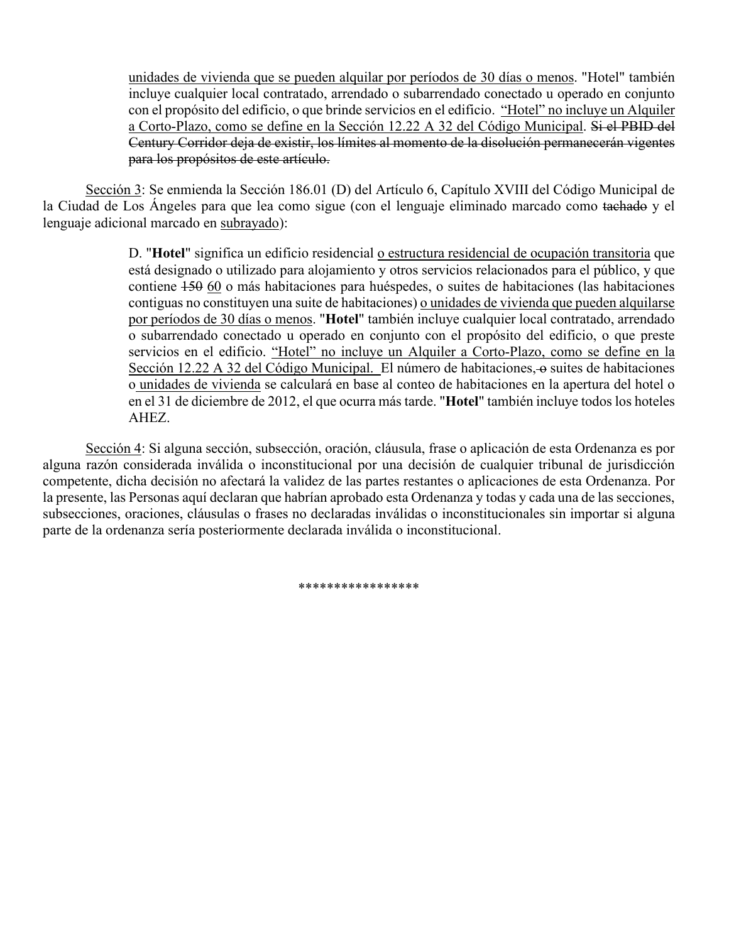unidades de vivienda que se pueden alquilar por períodos de 30 días o menos. "Hotel" también incluye cualquier local contratado, arrendado o subarrendado conectado u operado en conjunto con el propósito del edificio, o que brinde servicios en el edificio. "Hotel" no incluye un Alquiler a Corto-Plazo, como se define en la Sección 12.22 A 32 del Código Municipal. Si el PBID del Century Corridor deja de existir, los límites al momento de la disolución permanecerán vigentes para los propósitos de este artículo.

Sección 3: Se enmienda la Sección 186.01 (D) del Artículo 6, Capítulo XVIII del Código Municipal de la Ciudad de Los Ángeles para que lea como sigue (con el lenguaje eliminado marcado como tachado y el lenguaje adicional marcado en subrayado):

> D. "**Hotel**" significa un edificio residencial o estructura residencial de ocupación transitoria que está designado o utilizado para alojamiento y otros servicios relacionados para el público, y que contiene 150 60 o más habitaciones para huéspedes, o suites de habitaciones (las habitaciones contiguas no constituyen una suite de habitaciones) o unidades de vivienda que pueden alquilarse por períodos de 30 días o menos. "**Hotel**" también incluye cualquier local contratado, arrendado o subarrendado conectado u operado en conjunto con el propósito del edificio, o que preste servicios en el edificio. "Hotel" no incluye un Alquiler a Corto-Plazo, como se define en la Sección 12.22 A 32 del Código Municipal. El número de habitaciones, o suites de habitaciones o unidades de vivienda se calculará en base al conteo de habitaciones en la apertura del hotel o en el 31 de diciembre de 2012, el que ocurra más tarde. "**Hotel**" también incluye todos los hoteles AHEZ.

Sección 4: Si alguna sección, subsección, oración, cláusula, frase o aplicación de esta Ordenanza es por alguna razón considerada inválida o inconstitucional por una decisión de cualquier tribunal de jurisdicción competente, dicha decisión no afectará la validez de las partes restantes o aplicaciones de esta Ordenanza. Por la presente, las Personas aquí declaran que habrían aprobado esta Ordenanza y todas y cada una de las secciones, subsecciones, oraciones, cláusulas o frases no declaradas inválidas o inconstitucionales sin importar si alguna parte de la ordenanza sería posteriormente declarada inválida o inconstitucional.

\*\*\*\*\*\*\*\*\*\*\*\*\*\*\*\*\*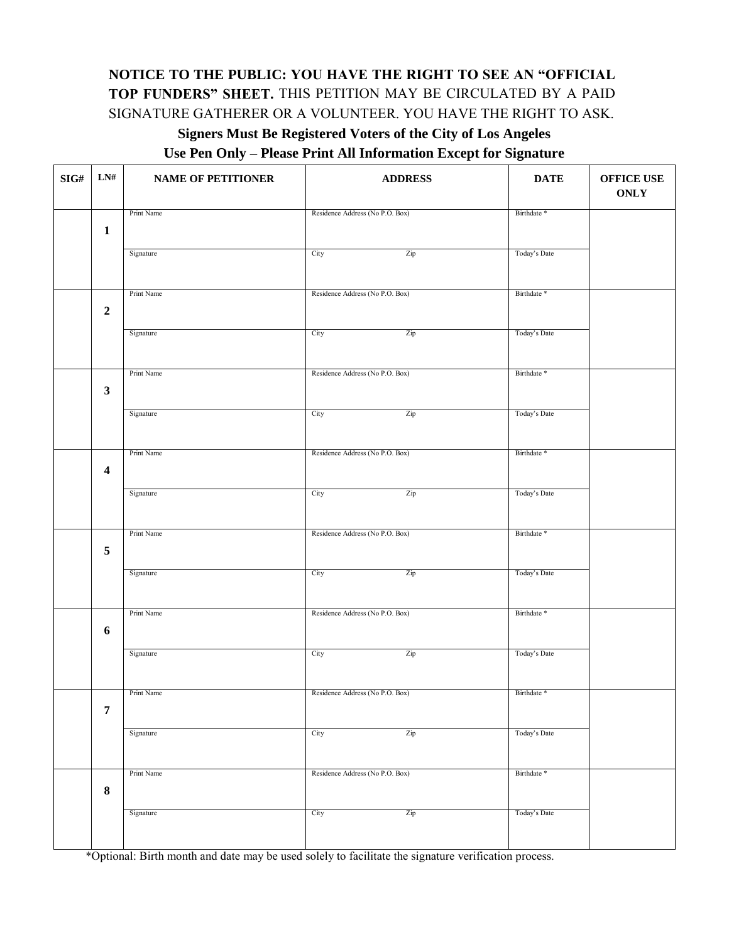## **NOTICE TO THE PUBLIC: YOU HAVE THE RIGHT TO SEE AN "OFFICIAL TOP FUNDERS" SHEET.** THIS PETITION MAY BE CIRCULATED BY A PAID SIGNATURE GATHERER OR A VOLUNTEER. YOU HAVE THE RIGHT TO ASK. **Signers Must Be Registered Voters of the City of Los Angeles**

#### **Use Pen Only – Please Print All Information Except for Signature**

| $\mathbf{SIG}\#$ | LN#                     | <b>NAME OF PETITIONER</b> | <b>ADDRESS</b>                  | <b>DATE</b>            | <b>OFFICE USE</b><br><b>ONLY</b> |  |
|------------------|-------------------------|---------------------------|---------------------------------|------------------------|----------------------------------|--|
|                  |                         | Print Name                | Residence Address (No P.O. Box) | Birthdate *            |                                  |  |
|                  | $\mathbf{1}$            |                           |                                 |                        |                                  |  |
|                  |                         | Signature                 | City<br>Zip                     | Today's Date           |                                  |  |
|                  |                         |                           |                                 |                        |                                  |  |
|                  |                         |                           |                                 |                        |                                  |  |
|                  |                         | Print Name                | Residence Address (No P.O. Box) | Birthdate *            |                                  |  |
|                  | $\overline{2}$          |                           |                                 |                        |                                  |  |
|                  |                         | Signature                 | City<br>Zip                     | Today's Date           |                                  |  |
|                  |                         |                           |                                 |                        |                                  |  |
|                  |                         | Print Name                | Residence Address (No P.O. Box) | Birthdate *            |                                  |  |
|                  | $\mathbf{3}$            |                           |                                 |                        |                                  |  |
|                  |                         | Signature                 | City<br>Zip                     | Today's Date           |                                  |  |
|                  |                         |                           |                                 |                        |                                  |  |
|                  |                         |                           |                                 |                        |                                  |  |
|                  |                         | Print Name                | Residence Address (No P.O. Box) | Birthdate <sup>*</sup> |                                  |  |
|                  | $\overline{\mathbf{4}}$ |                           |                                 |                        |                                  |  |
|                  |                         | Signature                 | City<br>Zip                     | Today's Date           |                                  |  |
|                  |                         |                           |                                 |                        |                                  |  |
|                  |                         | Print Name                | Residence Address (No P.O. Box) | Birthdate *            |                                  |  |
|                  | $\sqrt{5}$              |                           |                                 |                        |                                  |  |
|                  |                         | Signature                 | City<br>Zip                     | Today's Date           |                                  |  |
|                  |                         |                           |                                 |                        |                                  |  |
|                  |                         |                           |                                 |                        |                                  |  |
|                  |                         | Print Name                | Residence Address (No P.O. Box) | Birthdate *            |                                  |  |
|                  | $\boldsymbol{6}$        |                           |                                 |                        |                                  |  |
|                  |                         | Signature                 | City<br>Zip                     | Today's Date           |                                  |  |
|                  |                         |                           |                                 |                        |                                  |  |
|                  |                         | Print Name                | Residence Address (No P.O. Box) | Birthdate *            |                                  |  |
|                  | $\overline{7}$          |                           |                                 |                        |                                  |  |
|                  |                         | Signature                 | City<br>Zip                     | Today's Date           |                                  |  |
|                  |                         |                           |                                 |                        |                                  |  |
|                  |                         |                           |                                 |                        |                                  |  |
|                  |                         | Print Name                | Residence Address (No P.O. Box) | Birthdate *            |                                  |  |
|                  | $\bf 8$                 |                           |                                 |                        |                                  |  |
|                  |                         | Signature                 | City<br>Zip                     | Today's Date           |                                  |  |
|                  |                         |                           |                                 |                        |                                  |  |
|                  |                         |                           |                                 |                        |                                  |  |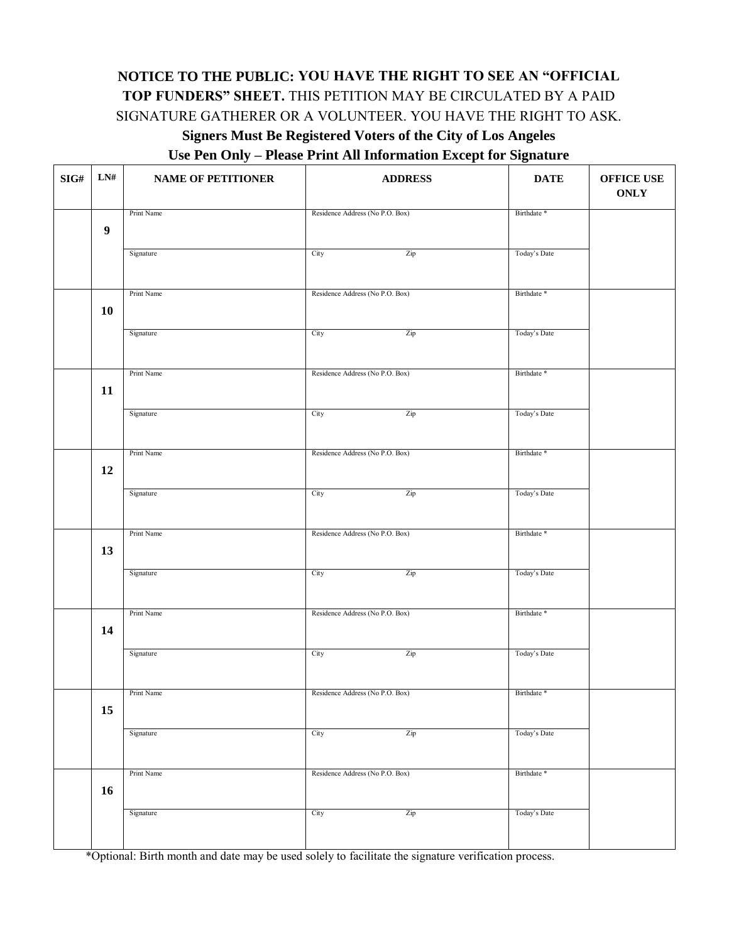## **NOTICE TO THE PUBLIC: YOU HAVE THE RIGHT TO SEE AN "OFFICIAL TOP FUNDERS" SHEET.** THIS PETITION MAY BE CIRCULATED BY A PAID SIGNATURE GATHERER OR A VOLUNTEER. YOU HAVE THE RIGHT TO ASK. **Signers Must Be Registered Voters of the City of Los Angeles**

#### **Use Pen Only – Please Print All Information Except for Signature**

| $\mathbf{SIG}\#$ | ${\rm LN}\#$     | <b>NAME OF PETITIONER</b> | <b>ADDRESS</b>                  | <b>DATE</b>            | <b>OFFICE USE</b><br><b>ONLY</b> |
|------------------|------------------|---------------------------|---------------------------------|------------------------|----------------------------------|
|                  |                  | Print Name                | Residence Address (No P.O. Box) | Birthdate *            |                                  |
|                  | $\boldsymbol{9}$ |                           |                                 |                        |                                  |
|                  |                  | Signature                 | Zip<br>City                     | Today's Date           |                                  |
|                  |                  | Print Name                | Residence Address (No P.O. Box) | Birthdate *            |                                  |
|                  | 10               |                           |                                 |                        |                                  |
|                  |                  | Signature                 | City<br>Zip                     | Today's Date           |                                  |
|                  |                  | Print Name                | Residence Address (No P.O. Box) | Birthdate <sup>*</sup> |                                  |
|                  | 11               |                           |                                 |                        |                                  |
|                  |                  | Signature                 | Zip<br>City                     | Today's Date           |                                  |
|                  |                  | Print Name                | Residence Address (No P.O. Box) | Birthdate *            |                                  |
|                  | 12               |                           |                                 |                        |                                  |
|                  |                  | Signature                 | Zip<br>City                     | Today's Date           |                                  |
|                  |                  | Print Name                | Residence Address (No P.O. Box) | Birthdate *            |                                  |
|                  | 13               |                           |                                 |                        |                                  |
|                  |                  | Signature                 | City<br>Zip                     | Today's Date           |                                  |
|                  |                  | Print Name                | Residence Address (No P.O. Box) | Birthdate *            |                                  |
|                  | 14               |                           |                                 |                        |                                  |
|                  |                  | Signature                 | City<br>Zip                     | Today's Date           |                                  |
|                  |                  | Print Name                | Residence Address (No P.O. Box) | Birthdate <sup>*</sup> |                                  |
|                  | 15               |                           |                                 |                        |                                  |
|                  |                  | Signature                 | City<br>Zip                     | Today's Date           |                                  |
|                  |                  | Print Name                | Residence Address (No P.O. Box) | Birthdate <sup>*</sup> |                                  |
|                  | 16               |                           |                                 |                        |                                  |
|                  |                  | Signature                 | City<br>Zip                     | Today's Date           |                                  |
|                  |                  |                           |                                 |                        |                                  |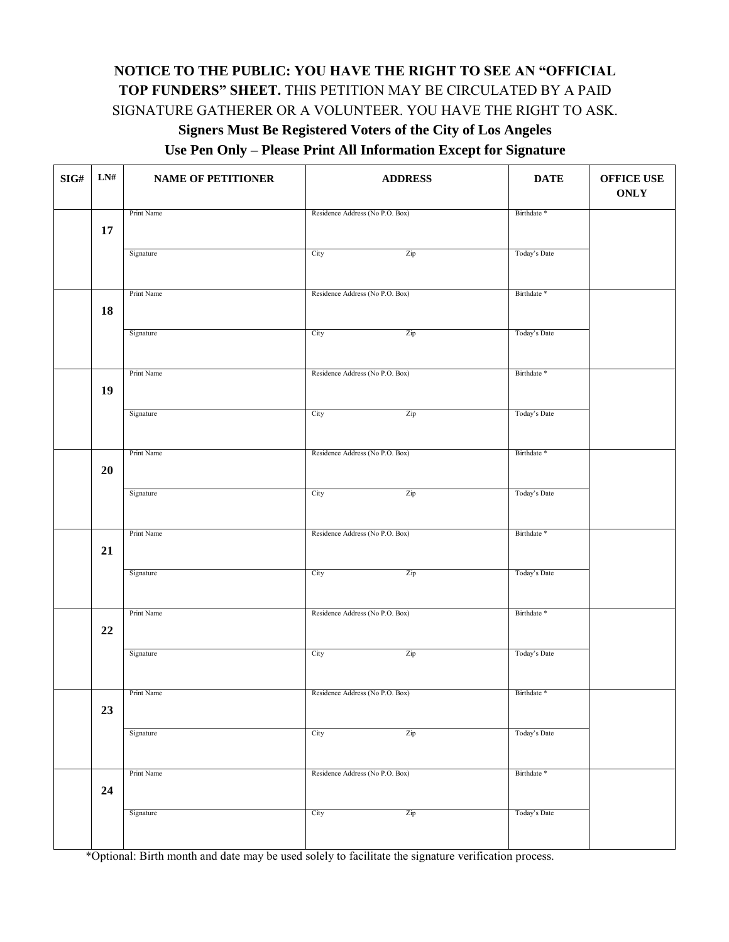## **NOTICE TO THE PUBLIC: YOU HAVE THE RIGHT TO SEE AN "OFFICIAL TOP FUNDERS" SHEET.** THIS PETITION MAY BE CIRCULATED BY A PAID SIGNATURE GATHERER OR A VOLUNTEER. YOU HAVE THE RIGHT TO ASK.

## **Signers Must Be Registered Voters of the City of Los Angeles**

**Use Pen Only – Please Print All Information Except for Signature** 

| $\mathbf{SIG}\#$ | ${\bf L N} \#$ | <b>NAME OF PETITIONER</b> | <b>ADDRESS</b>                  | <b>DATE</b>            | <b>OFFICE USE</b><br><b>ONLY</b> |
|------------------|----------------|---------------------------|---------------------------------|------------------------|----------------------------------|
|                  | 17             | Print Name                | Residence Address (No P.O. Box) | Birthdate <sup>*</sup> |                                  |
|                  |                | Signature                 | Zip<br>City                     | Today's Date           |                                  |
|                  |                | Print Name                | Residence Address (No P.O. Box) | Birthdate <sup>*</sup> |                                  |
|                  | 18             | Signature                 | City<br>Zip                     | Today's Date           |                                  |
|                  |                | Print Name                | Residence Address (No P.O. Box) | Birthdate *            |                                  |
|                  | 19             | Signature                 | Zip<br>City                     | Today's Date           |                                  |
|                  |                |                           |                                 |                        |                                  |
|                  | 20             | Print Name                | Residence Address (No P.O. Box) | Birthdate *            |                                  |
|                  |                | Signature                 | Zip<br>City                     | Today's Date           |                                  |
|                  | 21             | Print Name                | Residence Address (No P.O. Box) | Birthdate <sup>*</sup> |                                  |
|                  |                | Signature                 | City<br>Zip                     | Today's Date           |                                  |
|                  | $22\,$         | Print Name                | Residence Address (No P.O. Box) | Birthdate *            |                                  |
|                  |                | Signature                 | City<br>Zip                     | Today's Date           |                                  |
|                  |                | Print Name                | Residence Address (No P.O. Box) | Birthdate *            |                                  |
|                  | 23             | Signature                 | Zip<br>City                     | Today's Date           |                                  |
|                  |                | Print Name                | Residence Address (No P.O. Box) | Birthdate *            |                                  |
|                  | 24             | Signature                 | City<br>Zip                     | Today's Date           |                                  |
|                  |                |                           |                                 |                        |                                  |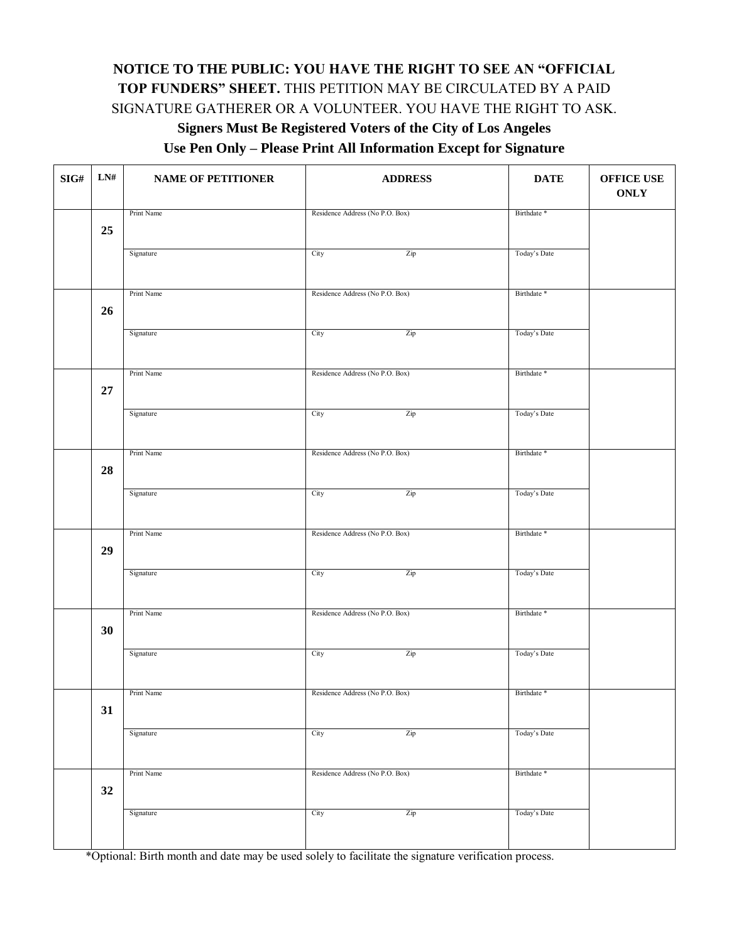## **NOTICE TO THE PUBLIC: YOU HAVE THE RIGHT TO SEE AN "OFFICIAL TOP FUNDERS" SHEET.** THIS PETITION MAY BE CIRCULATED BY A PAID SIGNATURE GATHERER OR A VOLUNTEER. YOU HAVE THE RIGHT TO ASK.

## **Signers Must Be Registered Voters of the City of Los Angeles**

**Use Pen Only – Please Print All Information Except for Signature** 

| $\mathbf{SIG}\#$ | ${\bf L N} \#$ | <b>NAME OF PETITIONER</b> | <b>ADDRESS</b>                  | <b>DATE</b>            | OFFICE USE<br><b>ONLY</b> |
|------------------|----------------|---------------------------|---------------------------------|------------------------|---------------------------|
|                  |                | Print Name                | Residence Address (No P.O. Box) | Birthdate <sup>*</sup> |                           |
|                  | 25             |                           |                                 |                        |                           |
|                  |                | Signature                 | City<br>Zip                     | Today's Date           |                           |
|                  |                |                           |                                 |                        |                           |
|                  |                | Print Name                | Residence Address (No P.O. Box) | Birthdate *            |                           |
|                  | 26             |                           |                                 |                        |                           |
|                  |                | Signature                 | Zip<br>City                     | Today's Date           |                           |
|                  |                |                           |                                 |                        |                           |
|                  |                |                           |                                 | Birthdate <sup>*</sup> |                           |
|                  | ${\bf 27}$     | Print Name                | Residence Address (No P.O. Box) |                        |                           |
|                  |                |                           |                                 |                        |                           |
|                  |                | Signature                 | City<br>Zip                     | Today's Date           |                           |
|                  |                |                           |                                 |                        |                           |
|                  |                | Print Name                | Residence Address (No P.O. Box) | Birthdate *            |                           |
|                  | 28             |                           |                                 |                        |                           |
|                  |                | Signature                 | City<br>Zip                     | Today's Date           |                           |
|                  |                |                           |                                 |                        |                           |
|                  |                | Print Name                | Residence Address (No P.O. Box) | Birthdate <sup>*</sup> |                           |
|                  | 29             |                           |                                 |                        |                           |
|                  |                | Signature                 | City<br>Zip                     | Today's Date           |                           |
|                  |                |                           |                                 |                        |                           |
|                  |                | Print Name                | Residence Address (No P.O. Box) | Birthdate *            |                           |
|                  | 30             |                           |                                 |                        |                           |
|                  |                | Signature                 | City<br>Zip                     | Today's Date           |                           |
|                  |                |                           |                                 |                        |                           |
|                  |                | Print Name                | Residence Address (No P.O. Box) | Birthdate *            |                           |
|                  | 31             |                           |                                 |                        |                           |
|                  |                |                           |                                 |                        |                           |
|                  |                | Signature                 | City<br>Zip                     | Today's Date           |                           |
|                  |                |                           |                                 |                        |                           |
|                  |                | Print Name                | Residence Address (No P.O. Box) | Birthdate *            |                           |
|                  | 32             |                           |                                 |                        |                           |
|                  |                | Signature                 | City<br>Zip                     | Today's Date           |                           |
|                  |                |                           |                                 |                        |                           |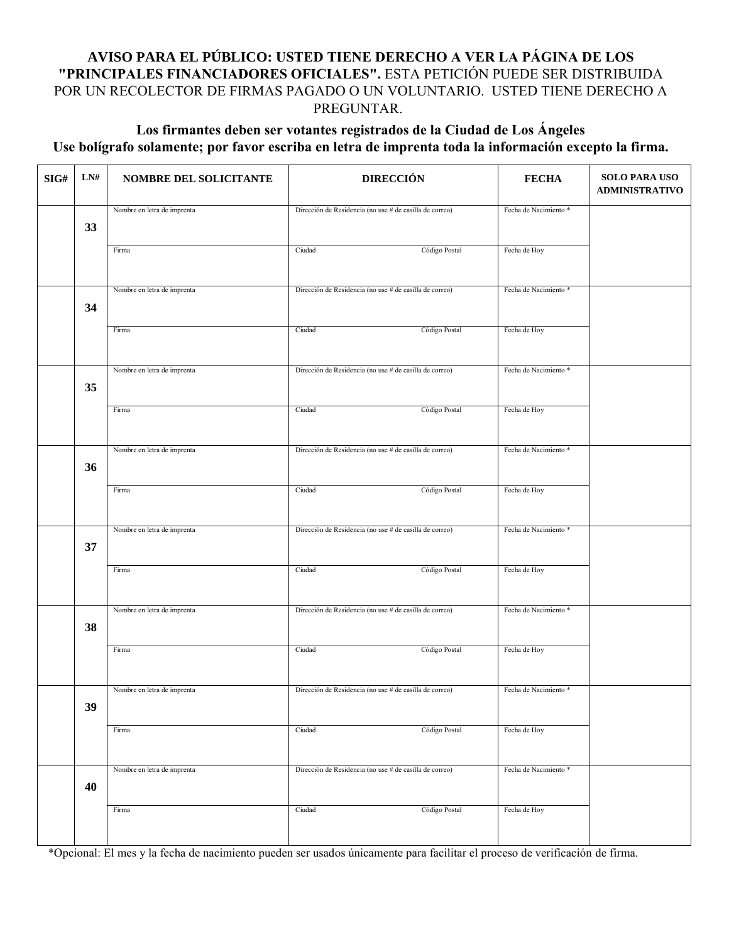### **AVISO PARA EL PÚBLICO: USTED TIENE DERECHO A VER LA PÁGINA DE LOS "PRINCIPALES FINANCIADORES OFICIALES".** ESTA PETICIÓN PUEDE SER DISTRIBUIDA POR UN RECOLECTOR DE FIRMAS PAGADO O UN VOLUNTARIO. USTED TIENE DERECHO A PREGUNTAR.

### **Los firmantes deben ser votantes registrados de la Ciudad de Los Ángeles Use bolígrafo solamente; por favor escriba en letra de imprenta toda la información excepto la firma.**

| SIG# | LN# | NOMBRE DEL SOLICITANTE      | <b>DIRECCIÓN</b>                                        | <b>FECHA</b>          | <b>SOLO PARA USO</b><br><b>ADMINISTRATIVO</b> |
|------|-----|-----------------------------|---------------------------------------------------------|-----------------------|-----------------------------------------------|
|      | 33  | Nombre en letra de imprenta | Dirección de Residencia (no use # de casilla de correo) | Fecha de Nacimiento * |                                               |
|      |     | Firma                       | Código Postal<br>Ciudad                                 | Fecha de Hoy          |                                               |
|      | 34  | Nombre en letra de imprenta | Dirección de Residencia (no use # de casilla de correo) | Fecha de Nacimiento * |                                               |
|      |     | Firma                       | Código Postal<br>Ciudad                                 | Fecha de Hoy          |                                               |
|      | 35  | Nombre en letra de imprenta | Dirección de Residencia (no use # de casilla de correo) | Fecha de Nacimiento * |                                               |
|      |     | Firma                       | Ciudad<br>Código Postal                                 | Fecha de Hoy          |                                               |
|      | 36  | Nombre en letra de imprenta | Dirección de Residencia (no use # de casilla de correo) | Fecha de Nacimiento * |                                               |
|      |     | Firma                       | Código Postal<br>Ciudad                                 | Fecha de Hoy          |                                               |
|      | 37  | Nombre en letra de imprenta | Dirección de Residencia (no use # de casilla de correo) | Fecha de Nacimiento * |                                               |
|      |     | Firma                       | Ciudad<br>Código Postal                                 | Fecha de Hoy          |                                               |
|      | 38  | Nombre en letra de imprenta | Dirección de Residencia (no use # de casilla de correo) | Fecha de Nacimiento * |                                               |
|      |     | Firma                       | Código Postal<br>Ciudad                                 | Fecha de Hoy          |                                               |
|      | 39  | Nombre en letra de imprenta | Dirección de Residencia (no use # de casilla de correo) | Fecha de Nacimiento * |                                               |
|      |     | Firma                       | Código Postal<br>Ciudad                                 | Fecha de Hoy          |                                               |
|      | 40  | Nombre en letra de imprenta | Dirección de Residencia (no use # de casilla de correo) | Fecha de Nacimiento * |                                               |
|      |     | Firma                       | Código Postal<br>Ciudad                                 | Fecha de Hoy          |                                               |

\*Opcional: El mes y la fecha de nacimiento pueden ser usados únicamente para facilitar el proceso de verificación de firma.